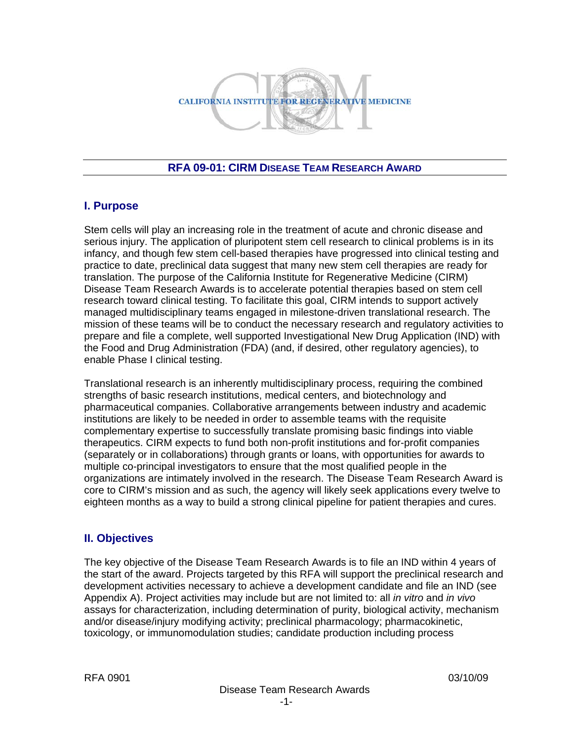

#### **RFA 09-01: CIRM DISEASE TEAM RESEARCH AWARD**

#### **I. Purpose**

Stem cells will play an increasing role in the treatment of acute and chronic disease and serious injury. The application of pluripotent stem cell research to clinical problems is in its infancy, and though few stem cell-based therapies have progressed into clinical testing and practice to date, preclinical data suggest that many new stem cell therapies are ready for translation. The purpose of the California Institute for Regenerative Medicine (CIRM) Disease Team Research Awards is to accelerate potential therapies based on stem cell research toward clinical testing. To facilitate this goal, CIRM intends to support actively managed multidisciplinary teams engaged in milestone-driven translational research. The mission of these teams will be to conduct the necessary research and regulatory activities to prepare and file a complete, well supported Investigational New Drug Application (IND) with the Food and Drug Administration (FDA) (and, if desired, other regulatory agencies), to enable Phase I clinical testing.

Translational research is an inherently multidisciplinary process, requiring the combined strengths of basic research institutions, medical centers, and biotechnology and pharmaceutical companies. Collaborative arrangements between industry and academic institutions are likely to be needed in order to assemble teams with the requisite complementary expertise to successfully translate promising basic findings into viable therapeutics. CIRM expects to fund both non-profit institutions and for-profit companies (separately or in collaborations) through grants or loans, with opportunities for awards to multiple co-principal investigators to ensure that the most qualified people in the organizations are intimately involved in the research. The Disease Team Research Award is core to CIRM's mission and as such, the agency will likely seek applications every twelve to eighteen months as a way to build a strong clinical pipeline for patient therapies and cures.

# **II. Objectives**

The key objective of the Disease Team Research Awards is to file an IND within 4 years of the start of the award. Projects targeted by this RFA will support the preclinical research and development activities necessary to achieve a development candidate and file an IND (see Appendix A). Project activities may include but are not limited to: all *in vitro* and *in vivo* assays for characterization, including determination of purity, biological activity, mechanism and/or disease/injury modifying activity; preclinical pharmacology; pharmacokinetic, toxicology, or immunomodulation studies; candidate production including process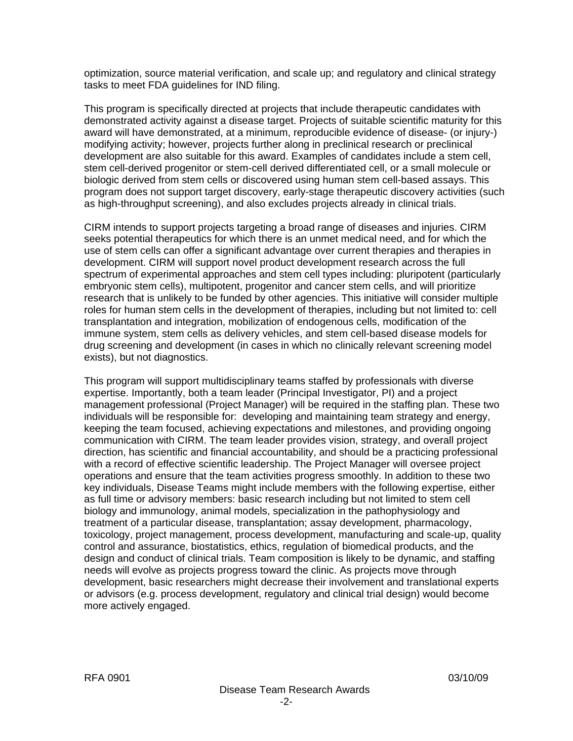optimization, source material verification, and scale up; and regulatory and clinical strategy tasks to meet FDA guidelines for IND filing.

This program is specifically directed at projects that include therapeutic candidates with demonstrated activity against a disease target. Projects of suitable scientific maturity for this award will have demonstrated, at a minimum, reproducible evidence of disease- (or injury-) modifying activity; however, projects further along in preclinical research or preclinical development are also suitable for this award. Examples of candidates include a stem cell, stem cell-derived progenitor or stem-cell derived differentiated cell, or a small molecule or biologic derived from stem cells or discovered using human stem cell-based assays. This program does not support target discovery, early-stage therapeutic discovery activities (such as high-throughput screening), and also excludes projects already in clinical trials.

CIRM intends to support projects targeting a broad range of diseases and injuries. CIRM seeks potential therapeutics for which there is an unmet medical need, and for which the use of stem cells can offer a significant advantage over current therapies and therapies in development. CIRM will support novel product development research across the full spectrum of experimental approaches and stem cell types including: pluripotent (particularly embryonic stem cells), multipotent, progenitor and cancer stem cells, and will prioritize research that is unlikely to be funded by other agencies. This initiative will consider multiple roles for human stem cells in the development of therapies, including but not limited to: cell transplantation and integration, mobilization of endogenous cells, modification of the immune system, stem cells as delivery vehicles, and stem cell-based disease models for drug screening and development (in cases in which no clinically relevant screening model exists), but not diagnostics.

This program will support multidisciplinary teams staffed by professionals with diverse expertise. Importantly, both a team leader (Principal Investigator, PI) and a project management professional (Project Manager) will be required in the staffing plan. These two individuals will be responsible for: developing and maintaining team strategy and energy, keeping the team focused, achieving expectations and milestones, and providing ongoing communication with CIRM. The team leader provides vision, strategy, and overall project direction, has scientific and financial accountability, and should be a practicing professional with a record of effective scientific leadership. The Project Manager will oversee project operations and ensure that the team activities progress smoothly. In addition to these two key individuals, Disease Teams might include members with the following expertise, either as full time or advisory members: basic research including but not limited to stem cell biology and immunology, animal models, specialization in the pathophysiology and treatment of a particular disease, transplantation; assay development, pharmacology, toxicology, project management, process development, manufacturing and scale-up, quality control and assurance, biostatistics, ethics, regulation of biomedical products, and the design and conduct of clinical trials. Team composition is likely to be dynamic, and staffing needs will evolve as projects progress toward the clinic. As projects move through development, basic researchers might decrease their involvement and translational experts or advisors (e.g. process development, regulatory and clinical trial design) would become more actively engaged.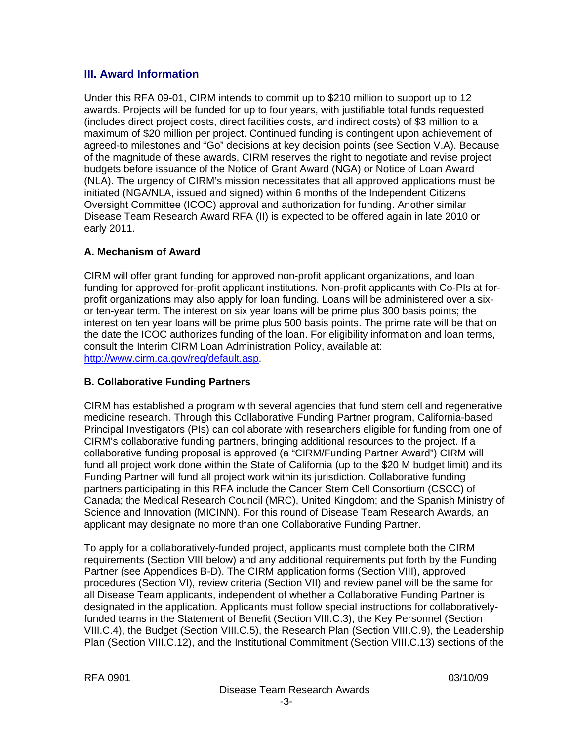# **III. Award Information**

Under this RFA 09-01, CIRM intends to commit up to \$210 million to support up to 12 awards. Projects will be funded for up to four years, with justifiable total funds requested (includes direct project costs, direct facilities costs, and indirect costs) of \$3 million to a maximum of \$20 million per project. Continued funding is contingent upon achievement of agreed-to milestones and "Go" decisions at key decision points (see Section V.A). Because of the magnitude of these awards, CIRM reserves the right to negotiate and revise project budgets before issuance of the Notice of Grant Award (NGA) or Notice of Loan Award (NLA). The urgency of CIRM's mission necessitates that all approved applications must be initiated (NGA/NLA, issued and signed) within 6 months of the Independent Citizens Oversight Committee (ICOC) approval and authorization for funding. Another similar Disease Team Research Award RFA (II) is expected to be offered again in late 2010 or early 2011.

# **A. Mechanism of Award**

CIRM will offer grant funding for approved non-profit applicant organizations, and loan funding for approved for-profit applicant institutions. Non-profit applicants with Co-PIs at forprofit organizations may also apply for loan funding. Loans will be administered over a sixor ten-year term. The interest on six year loans will be prime plus 300 basis points; the interest on ten year loans will be prime plus 500 basis points. The prime rate will be that on the date the ICOC authorizes funding of the loan. For eligibility information and loan terms, consult the Interim CIRM Loan Administration Policy, available at: [http://www.cirm.ca.gov/reg/default.asp.](http://www.cirm.ca.gov/reg/default.asp)

# **B. Collaborative Funding Partners**

CIRM has established a program with several agencies that fund stem cell and regenerative medicine research. Through this Collaborative Funding Partner program, California-based Principal Investigators (PIs) can collaborate with researchers eligible for funding from one of CIRM's collaborative funding partners, bringing additional resources to the project. If a collaborative funding proposal is approved (a "CIRM/Funding Partner Award") CIRM will fund all project work done within the State of California (up to the \$20 M budget limit) and its Funding Partner will fund all project work within its jurisdiction. Collaborative funding partners participating in this RFA include the Cancer Stem Cell Consortium (CSCC) of Canada; the Medical Research Council (MRC), United Kingdom; and the Spanish Ministry of Science and Innovation (MICINN). For this round of Disease Team Research Awards, an applicant may designate no more than one Collaborative Funding Partner.

To apply for a collaboratively-funded project, applicants must complete both the CIRM requirements (Section VIII below) and any additional requirements put forth by the Funding Partner (see Appendices B-D). The CIRM application forms (Section VIII), approved procedures (Section VI), review criteria (Section VII) and review panel will be the same for all Disease Team applicants, independent of whether a Collaborative Funding Partner is designated in the application. Applicants must follow special instructions for collaborativelyfunded teams in the Statement of Benefit (Section VIII.C.3), the Key Personnel (Section VIII.C.4), the Budget (Section VIII.C.5), the Research Plan (Section VIII.C.9), the Leadership Plan (Section VIII.C.12), and the Institutional Commitment (Section VIII.C.13) sections of the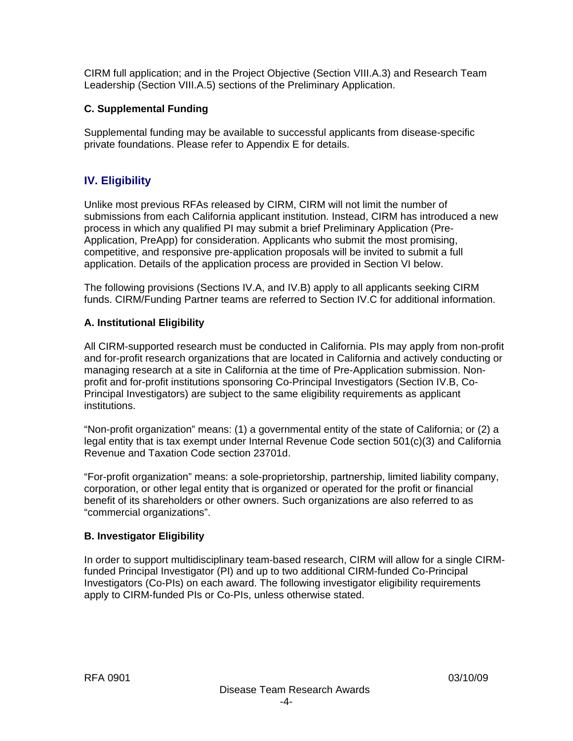CIRM full application; and in the Project Objective (Section VIII.A.3) and Research Team Leadership (Section VIII.A.5) sections of the Preliminary Application.

#### **C. Supplemental Funding**

Supplemental funding may be available to successful applicants from disease-specific private foundations. Please refer to Appendix E for details.

# **IV. Eligibility**

Unlike most previous RFAs released by CIRM, CIRM will not limit the number of submissions from each California applicant institution. Instead, CIRM has introduced a new process in which any qualified PI may submit a brief Preliminary Application (Pre-Application, PreApp) for consideration. Applicants who submit the most promising, competitive, and responsive pre-application proposals will be invited to submit a full application. Details of the application process are provided in Section VI below.

The following provisions (Sections IV.A, and IV.B) apply to all applicants seeking CIRM funds. CIRM/Funding Partner teams are referred to Section IV.C for additional information.

#### **A. Institutional Eligibility**

All CIRM-supported research must be conducted in California. PIs may apply from non-profit and for-profit research organizations that are located in California and actively conducting or managing research at a site in California at the time of Pre-Application submission. Nonprofit and for-profit institutions sponsoring Co-Principal Investigators (Section IV.B, Co-Principal Investigators) are subject to the same eligibility requirements as applicant institutions.

"Non-profit organization" means: (1) a governmental entity of the state of California; or (2) a legal entity that is tax exempt under Internal Revenue Code section 501(c)(3) and California Revenue and Taxation Code section 23701d.

"For-profit organization" means: a sole-proprietorship, partnership, limited liability company, corporation, or other legal entity that is organized or operated for the profit or financial benefit of its shareholders or other owners. Such organizations are also referred to as "commercial organizations".

#### **B. Investigator Eligibility**

In order to support multidisciplinary team-based research, CIRM will allow for a single CIRMfunded Principal Investigator (PI) and up to two additional CIRM-funded Co-Principal Investigators (Co-PIs) on each award. The following investigator eligibility requirements apply to CIRM-funded PIs or Co-PIs, unless otherwise stated.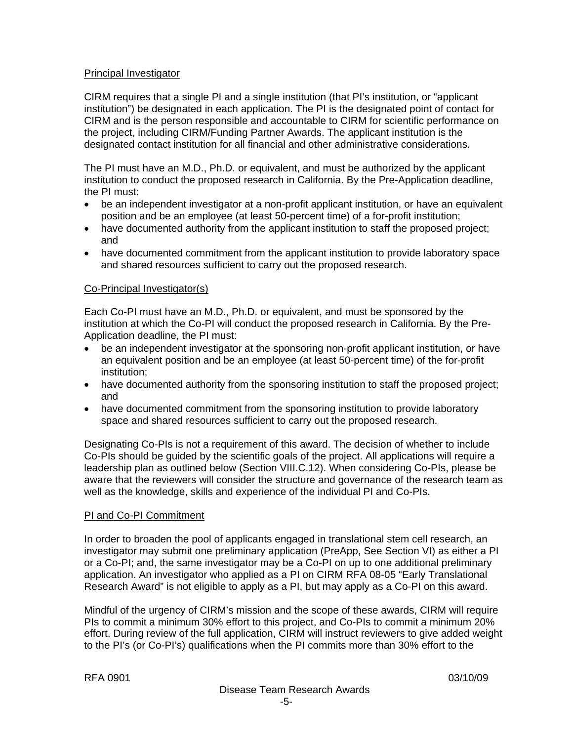#### Principal Investigator

CIRM requires that a single PI and a single institution (that PI's institution, or "applicant institution") be designated in each application. The PI is the designated point of contact for CIRM and is the person responsible and accountable to CIRM for scientific performance on the project, including CIRM/Funding Partner Awards. The applicant institution is the designated contact institution for all financial and other administrative considerations.

The PI must have an M.D., Ph.D. or equivalent, and must be authorized by the applicant institution to conduct the proposed research in California. By the Pre-Application deadline, the PI must:

- be an independent investigator at a non-profit applicant institution, or have an equivalent position and be an employee (at least 50-percent time) of a for-profit institution;
- have documented authority from the applicant institution to staff the proposed project: and
- have documented commitment from the applicant institution to provide laboratory space and shared resources sufficient to carry out the proposed research.

#### Co-Principal Investigator(s)

Each Co-PI must have an M.D., Ph.D. or equivalent, and must be sponsored by the institution at which the Co-PI will conduct the proposed research in California. By the Pre-Application deadline, the PI must:

- be an independent investigator at the sponsoring non-profit applicant institution, or have an equivalent position and be an employee (at least 50-percent time) of the for-profit institution;
- have documented authority from the sponsoring institution to staff the proposed project; and
- have documented commitment from the sponsoring institution to provide laboratory space and shared resources sufficient to carry out the proposed research.

Designating Co-PIs is not a requirement of this award. The decision of whether to include Co-PIs should be guided by the scientific goals of the project. All applications will require a leadership plan as outlined below (Section VIII.C.12). When considering Co-PIs, please be aware that the reviewers will consider the structure and governance of the research team as well as the knowledge, skills and experience of the individual PI and Co-PIs.

#### PI and Co-PI Commitment

In order to broaden the pool of applicants engaged in translational stem cell research, an investigator may submit one preliminary application (PreApp, See Section VI) as either a PI or a Co-PI; and, the same investigator may be a Co-PI on up to one additional preliminary application. An investigator who applied as a PI on CIRM RFA 08-05 "Early Translational Research Award" is not eligible to apply as a PI, but may apply as a Co-PI on this award.

Mindful of the urgency of CIRM's mission and the scope of these awards, CIRM will require PIs to commit a minimum 30% effort to this project, and Co-PIs to commit a minimum 20% effort. During review of the full application, CIRM will instruct reviewers to give added weight to the PI's (or Co-PI's) qualifications when the PI commits more than 30% effort to the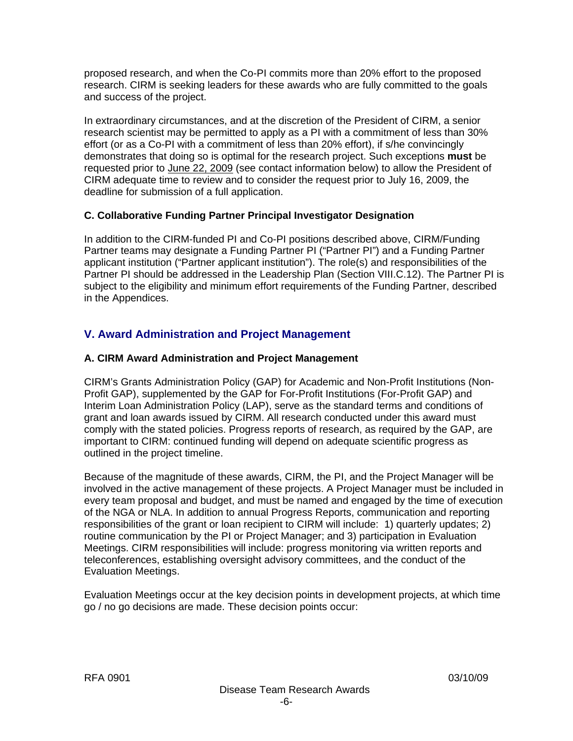proposed research, and when the Co-PI commits more than 20% effort to the proposed research. CIRM is seeking leaders for these awards who are fully committed to the goals and success of the project.

In extraordinary circumstances, and at the discretion of the President of CIRM, a senior research scientist may be permitted to apply as a PI with a commitment of less than 30% effort (or as a Co-PI with a commitment of less than 20% effort), if s/he convincingly demonstrates that doing so is optimal for the research project. Such exceptions **must** be requested prior to June 22, 2009 (see contact information below) to allow the President of CIRM adequate time to review and to consider the request prior to July 16, 2009, the deadline for submission of a full application.

# **C. Collaborative Funding Partner Principal Investigator Designation**

In addition to the CIRM-funded PI and Co-PI positions described above, CIRM/Funding Partner teams may designate a Funding Partner PI ("Partner PI") and a Funding Partner applicant institution ("Partner applicant institution"). The role(s) and responsibilities of the Partner PI should be addressed in the Leadership Plan (Section VIII.C.12). The Partner PI is subject to the eligibility and minimum effort requirements of the Funding Partner, described in the Appendices.

# **V. Award Administration and Project Management**

# **A. CIRM Award Administration and Project Management**

CIRM's Grants Administration Policy (GAP) for Academic and Non-Profit Institutions (Non-Profit GAP), supplemented by the GAP for For-Profit Institutions (For-Profit GAP) and Interim Loan Administration Policy (LAP), serve as the standard terms and conditions of grant and loan awards issued by CIRM. All research conducted under this award must comply with the stated policies. Progress reports of research, as required by the GAP, are important to CIRM: continued funding will depend on adequate scientific progress as outlined in the project timeline.

Because of the magnitude of these awards, CIRM, the PI, and the Project Manager will be involved in the active management of these projects. A Project Manager must be included in every team proposal and budget, and must be named and engaged by the time of execution of the NGA or NLA. In addition to annual Progress Reports, communication and reporting responsibilities of the grant or loan recipient to CIRM will include: 1) quarterly updates; 2) routine communication by the PI or Project Manager; and 3) participation in Evaluation Meetings. CIRM responsibilities will include: progress monitoring via written reports and teleconferences, establishing oversight advisory committees, and the conduct of the Evaluation Meetings.

Evaluation Meetings occur at the key decision points in development projects, at which time go / no go decisions are made. These decision points occur: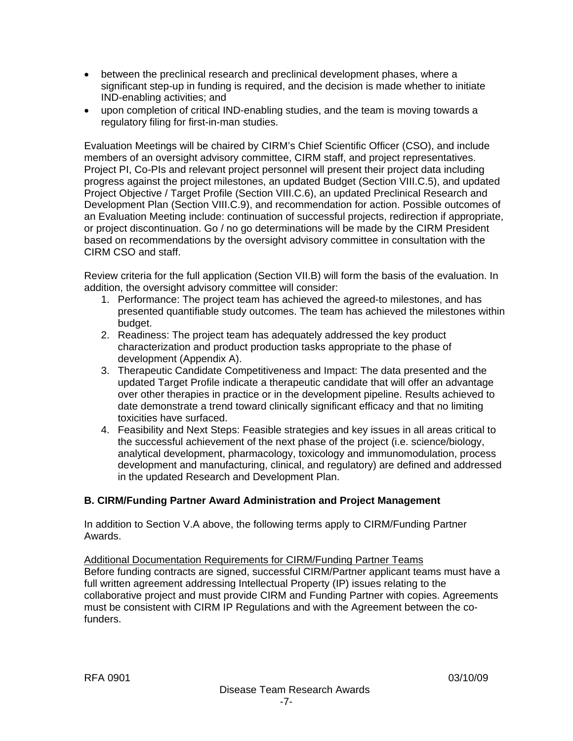- between the preclinical research and preclinical development phases, where a significant step-up in funding is required, and the decision is made whether to initiate IND-enabling activities; and
- upon completion of critical IND-enabling studies, and the team is moving towards a regulatory filing for first-in-man studies.

Evaluation Meetings will be chaired by CIRM's Chief Scientific Officer (CSO), and include members of an oversight advisory committee, CIRM staff, and project representatives. Project PI, Co-PIs and relevant project personnel will present their project data including progress against the project milestones, an updated Budget (Section VIII.C.5), and updated Project Objective / Target Profile (Section VIII.C.6), an updated Preclinical Research and Development Plan (Section VIII.C.9), and recommendation for action. Possible outcomes of an Evaluation Meeting include: continuation of successful projects, redirection if appropriate, or project discontinuation. Go / no go determinations will be made by the CIRM President based on recommendations by the oversight advisory committee in consultation with the CIRM CSO and staff.

Review criteria for the full application (Section VII.B) will form the basis of the evaluation. In addition, the oversight advisory committee will consider:

- 1. Performance: The project team has achieved the agreed-to milestones, and has presented quantifiable study outcomes. The team has achieved the milestones within budget.
- 2. Readiness: The project team has adequately addressed the key product characterization and product production tasks appropriate to the phase of development (Appendix A).
- 3. Therapeutic Candidate Competitiveness and Impact: The data presented and the updated Target Profile indicate a therapeutic candidate that will offer an advantage over other therapies in practice or in the development pipeline. Results achieved to date demonstrate a trend toward clinically significant efficacy and that no limiting toxicities have surfaced.
- 4. Feasibility and Next Steps: Feasible strategies and key issues in all areas critical to the successful achievement of the next phase of the project (i.e. science/biology, analytical development, pharmacology, toxicology and immunomodulation, process development and manufacturing, clinical, and regulatory) are defined and addressed in the updated Research and Development Plan.

# **B. CIRM/Funding Partner Award Administration and Project Management**

In addition to Section V.A above, the following terms apply to CIRM/Funding Partner Awards.

Additional Documentation Requirements for CIRM/Funding Partner Teams Before funding contracts are signed, successful CIRM/Partner applicant teams must have a full written agreement addressing Intellectual Property (IP) issues relating to the collaborative project and must provide CIRM and Funding Partner with copies. Agreements must be consistent with CIRM IP Regulations and with the Agreement between the cofunders.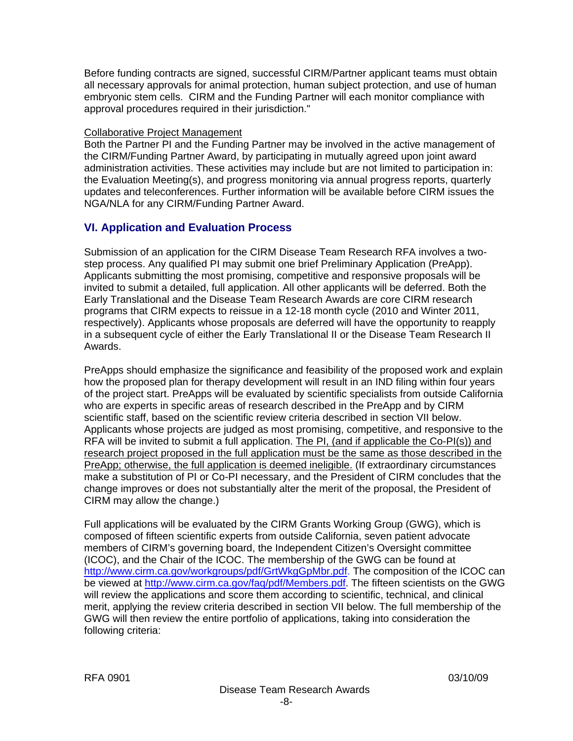Before funding contracts are signed, successful CIRM/Partner applicant teams must obtain all necessary approvals for animal protection, human subject protection, and use of human embryonic stem cells. CIRM and the Funding Partner will each monitor compliance with approval procedures required in their jurisdiction."

#### Collaborative Project Management

Both the Partner PI and the Funding Partner may be involved in the active management of the CIRM/Funding Partner Award, by participating in mutually agreed upon joint award administration activities. These activities may include but are not limited to participation in: the Evaluation Meeting(s), and progress monitoring via annual progress reports, quarterly updates and teleconferences. Further information will be available before CIRM issues the NGA/NLA for any CIRM/Funding Partner Award.

# **VI. Application and Evaluation Process**

Submission of an application for the CIRM Disease Team Research RFA involves a twostep process. Any qualified PI may submit one brief Preliminary Application (PreApp). Applicants submitting the most promising, competitive and responsive proposals will be invited to submit a detailed, full application. All other applicants will be deferred. Both the Early Translational and the Disease Team Research Awards are core CIRM research programs that CIRM expects to reissue in a 12-18 month cycle (2010 and Winter 2011, respectively). Applicants whose proposals are deferred will have the opportunity to reapply in a subsequent cycle of either the Early Translational II or the Disease Team Research II Awards.

PreApps should emphasize the significance and feasibility of the proposed work and explain how the proposed plan for therapy development will result in an IND filing within four years of the project start. PreApps will be evaluated by scientific specialists from outside California who are experts in specific areas of research described in the PreApp and by CIRM scientific staff, based on the scientific review criteria described in section VII below. Applicants whose projects are judged as most promising, competitive, and responsive to the RFA will be invited to submit a full application. The PI, (and if applicable the Co-PI(s)) and research project proposed in the full application must be the same as those described in the PreApp; otherwise, the full application is deemed ineligible. (If extraordinary circumstances make a substitution of PI or Co-PI necessary, and the President of CIRM concludes that the change improves or does not substantially alter the merit of the proposal, the President of CIRM may allow the change.)

Full applications will be evaluated by the CIRM Grants Working Group (GWG), which is composed of fifteen scientific experts from outside California, seven patient advocate members of CIRM's governing board, the Independent Citizen's Oversight committee (ICOC), and the Chair of the ICOC. The membership of the GWG can be found at <http://www.cirm.ca.gov/workgroups/pdf/GrtWkgGpMbr.pdf>. The composition of the ICOC can be viewed at <http://www.cirm.ca.gov/faq/pdf/Members.pdf>. The fifteen scientists on the GWG will review the applications and score them according to scientific, technical, and clinical merit, applying the review criteria described in section VII below. The full membership of the GWG will then review the entire portfolio of applications, taking into consideration the following criteria: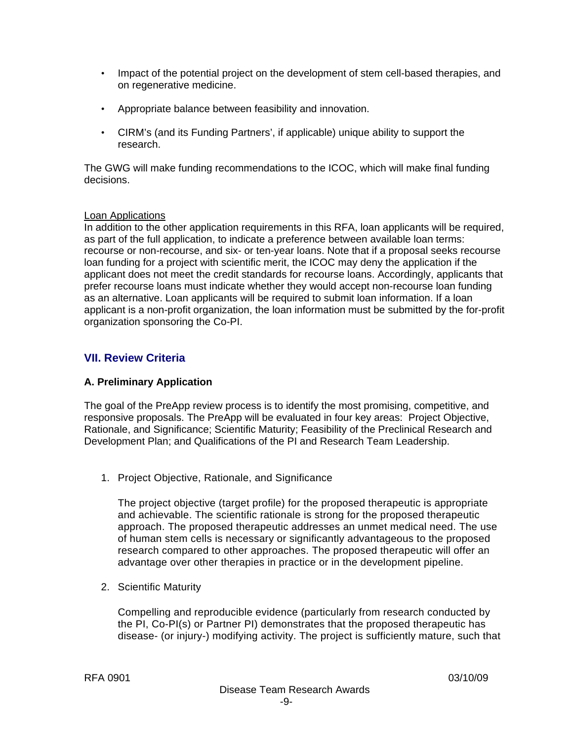- Impact of the potential project on the development of stem cell-based therapies, and on regenerative medicine.
- Appropriate balance between feasibility and innovation.
- CIRM's (and its Funding Partners', if applicable) unique ability to support the research.

The GWG will make funding recommendations to the ICOC, which will make final funding decisions.

#### Loan Applications

In addition to the other application requirements in this RFA, loan applicants will be required, as part of the full application, to indicate a preference between available loan terms: recourse or non-recourse, and six- or ten-year loans. Note that if a proposal seeks recourse loan funding for a project with scientific merit, the ICOC may deny the application if the applicant does not meet the credit standards for recourse loans. Accordingly, applicants that prefer recourse loans must indicate whether they would accept non-recourse loan funding as an alternative. Loan applicants will be required to submit loan information. If a loan applicant is a non-profit organization, the loan information must be submitted by the for-profit organization sponsoring the Co-PI.

# **VII. Review Criteria**

#### **A. Preliminary Application**

The goal of the PreApp review process is to identify the most promising, competitive, and responsive proposals. The PreApp will be evaluated in four key areas: Project Objective, Rationale, and Significance; Scientific Maturity; Feasibility of the Preclinical Research and Development Plan; and Qualifications of the PI and Research Team Leadership.

1. Project Objective, Rationale, and Significance

The project objective (target profile) for the proposed therapeutic is appropriate and achievable. The scientific rationale is strong for the proposed therapeutic approach. The proposed therapeutic addresses an unmet medical need. The use of human stem cells is necessary or significantly advantageous to the proposed research compared to other approaches. The proposed therapeutic will offer an advantage over other therapies in practice or in the development pipeline.

2. Scientific Maturity

Compelling and reproducible evidence (particularly from research conducted by the PI, Co-PI(s) or Partner PI) demonstrates that the proposed therapeutic has disease- (or injury-) modifying activity. The project is sufficiently mature, such that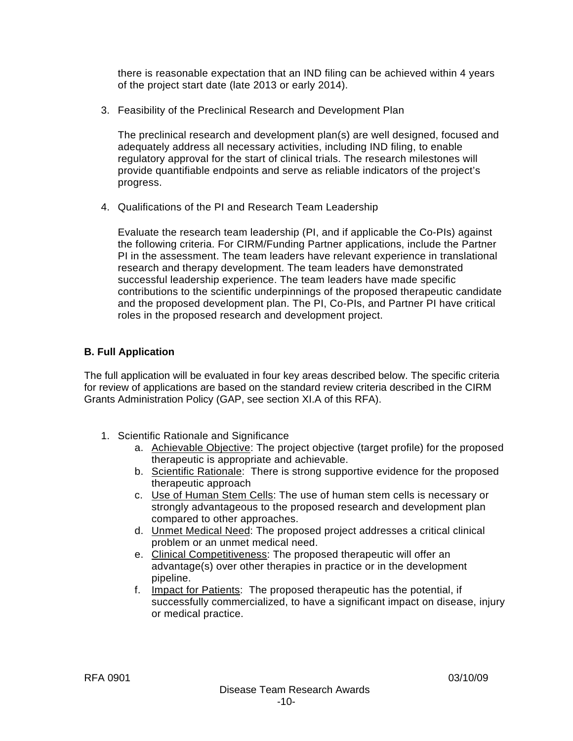there is reasonable expectation that an IND filing can be achieved within 4 years of the project start date (late 2013 or early 2014).

3. Feasibility of the Preclinical Research and Development Plan

The preclinical research and development plan(s) are well designed, focused and adequately address all necessary activities, including IND filing, to enable regulatory approval for the start of clinical trials. The research milestones will provide quantifiable endpoints and serve as reliable indicators of the project's progress.

4. Qualifications of the PI and Research Team Leadership

Evaluate the research team leadership (PI, and if applicable the Co-PIs) against the following criteria. For CIRM/Funding Partner applications, include the Partner PI in the assessment. The team leaders have relevant experience in translational research and therapy development. The team leaders have demonstrated successful leadership experience. The team leaders have made specific contributions to the scientific underpinnings of the proposed therapeutic candidate and the proposed development plan. The PI, Co-PIs, and Partner PI have critical roles in the proposed research and development project.

#### **B. Full Application**

The full application will be evaluated in four key areas described below. The specific criteria for review of applications are based on the standard review criteria described in the CIRM Grants Administration Policy (GAP, see section XI.A of this RFA).

- 1. Scientific Rationale and Significance
	- a. Achievable Objective: The project objective (target profile) for the proposed therapeutic is appropriate and achievable.
	- b. Scientific Rationale: There is strong supportive evidence for the proposed therapeutic approach
	- c. Use of Human Stem Cells: The use of human stem cells is necessary or strongly advantageous to the proposed research and development plan compared to other approaches.
	- d. Unmet Medical Need: The proposed project addresses a critical clinical problem or an unmet medical need.
	- e. Clinical Competitiveness: The proposed therapeutic will offer an advantage(s) over other therapies in practice or in the development pipeline.
	- f. Impact for Patients: The proposed therapeutic has the potential, if successfully commercialized, to have a significant impact on disease, injury or medical practice.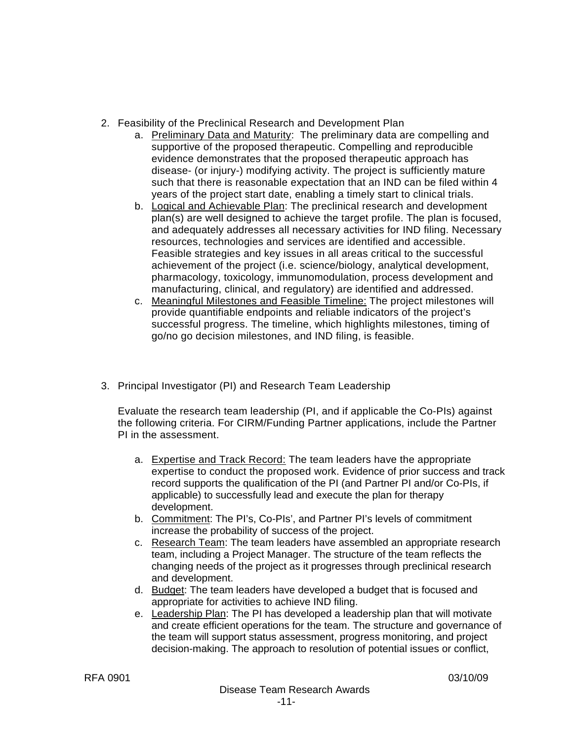- 2. Feasibility of the Preclinical Research and Development Plan
	- a. Preliminary Data and Maturity: The preliminary data are compelling and supportive of the proposed therapeutic. Compelling and reproducible evidence demonstrates that the proposed therapeutic approach has disease- (or injury-) modifying activity. The project is sufficiently mature such that there is reasonable expectation that an IND can be filed within 4 years of the project start date, enabling a timely start to clinical trials.
	- b. Logical and Achievable Plan: The preclinical research and development plan(s) are well designed to achieve the target profile. The plan is focused, and adequately addresses all necessary activities for IND filing. Necessary resources, technologies and services are identified and accessible. Feasible strategies and key issues in all areas critical to the successful achievement of the project (i.e. science/biology, analytical development, pharmacology, toxicology, immunomodulation, process development and manufacturing, clinical, and regulatory) are identified and addressed.
	- c. Meaningful Milestones and Feasible Timeline: The project milestones will provide quantifiable endpoints and reliable indicators of the project's successful progress. The timeline, which highlights milestones, timing of go/no go decision milestones, and IND filing, is feasible.
- 3. Principal Investigator (PI) and Research Team Leadership

Evaluate the research team leadership (PI, and if applicable the Co-PIs) against the following criteria. For CIRM/Funding Partner applications, include the Partner PI in the assessment.

- a. Expertise and Track Record: The team leaders have the appropriate expertise to conduct the proposed work. Evidence of prior success and track record supports the qualification of the PI (and Partner PI and/or Co-PIs, if applicable) to successfully lead and execute the plan for therapy development.
- b. Commitment: The PI's, Co-PIs', and Partner PI's levels of commitment increase the probability of success of the project.
- c. Research Team: The team leaders have assembled an appropriate research team, including a Project Manager. The structure of the team reflects the changing needs of the project as it progresses through preclinical research and development.
- d. Budget: The team leaders have developed a budget that is focused and appropriate for activities to achieve IND filing.
- e. Leadership Plan: The PI has developed a leadership plan that will motivate and create efficient operations for the team. The structure and governance of the team will support status assessment, progress monitoring, and project decision-making. The approach to resolution of potential issues or conflict,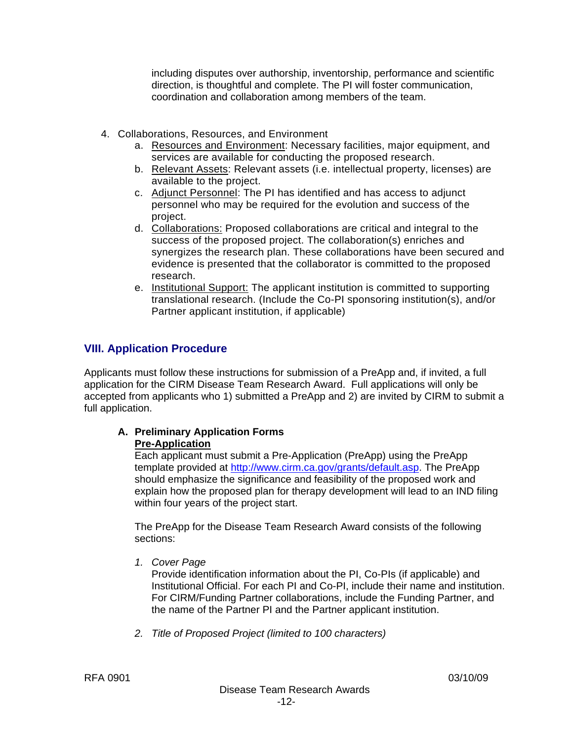including disputes over authorship, inventorship, performance and scientific direction, is thoughtful and complete. The PI will foster communication, coordination and collaboration among members of the team.

- 4. Collaborations, Resources, and Environment
	- a. Resources and Environment: Necessary facilities, major equipment, and services are available for conducting the proposed research.
	- b. Relevant Assets: Relevant assets (i.e. intellectual property, licenses) are available to the project.
	- c. Adjunct Personnel: The PI has identified and has access to adjunct personnel who may be required for the evolution and success of the project.
	- d. Collaborations: Proposed collaborations are critical and integral to the success of the proposed project. The collaboration(s) enriches and synergizes the research plan. These collaborations have been secured and evidence is presented that the collaborator is committed to the proposed research.
	- e. Institutional Support: The applicant institution is committed to supporting translational research. (Include the Co-PI sponsoring institution(s), and/or Partner applicant institution, if applicable)

# **VIII. Application Procedure**

Applicants must follow these instructions for submission of a PreApp and, if invited, a full application for the CIRM Disease Team Research Award. Full applications will only be accepted from applicants who 1) submitted a PreApp and 2) are invited by CIRM to submit a full application.

#### **A. Preliminary Application Forms Pre-Application**

Each applicant must submit a Pre-Application (PreApp) using the PreApp template provided at [http://www.cirm.ca.gov/grants/default.asp.](http://www.cirm.ca.gov/grants/default.asp) The PreApp should emphasize the significance and feasibility of the proposed work and explain how the proposed plan for therapy development will lead to an IND filing within four years of the project start.

The PreApp for the Disease Team Research Award consists of the following sections:

*1. Cover Page* 

Provide identification information about the PI, Co-PIs (if applicable) and Institutional Official. For each PI and Co-PI, include their name and institution. For CIRM/Funding Partner collaborations, include the Funding Partner, and the name of the Partner PI and the Partner applicant institution.

*2. Title of Proposed Project (limited to 100 characters)*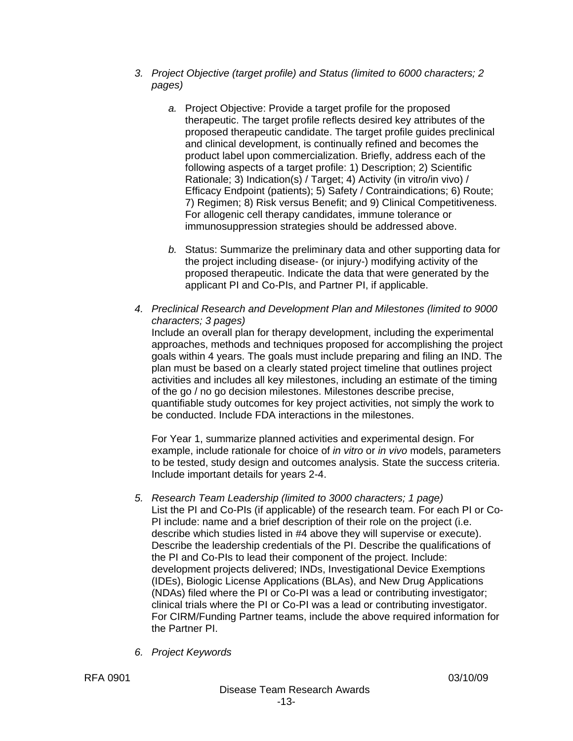- *3. Project Objective (target profile) and Status (limited to 6000 characters; 2 pages)* 
	- *a.* Project Objective: Provide a target profile for the proposed therapeutic. The target profile reflects desired key attributes of the proposed therapeutic candidate. The target profile guides preclinical and clinical development, is continually refined and becomes the product label upon commercialization. Briefly, address each of the following aspects of a target profile: 1) Description; 2) Scientific Rationale; 3) Indication(s) / Target; 4) Activity (in vitro/in vivo) / Efficacy Endpoint (patients); 5) Safety / Contraindications; 6) Route; 7) Regimen; 8) Risk versus Benefit; and 9) Clinical Competitiveness. For allogenic cell therapy candidates, immune tolerance or immunosuppression strategies should be addressed above.
	- *b.* Status: Summarize the preliminary data and other supporting data for the project including disease- (or injury-) modifying activity of the proposed therapeutic. Indicate the data that were generated by the applicant PI and Co-PIs, and Partner PI, if applicable.
- *4. Preclinical Research and Development Plan and Milestones (limited to 9000 characters; 3 pages)*

Include an overall plan for therapy development, including the experimental approaches, methods and techniques proposed for accomplishing the project goals within 4 years. The goals must include preparing and filing an IND. The plan must be based on a clearly stated project timeline that outlines project activities and includes all key milestones, including an estimate of the timing of the go / no go decision milestones. Milestones describe precise, quantifiable study outcomes for key project activities, not simply the work to be conducted. Include FDA interactions in the milestones.

For Year 1, summarize planned activities and experimental design. For example, include rationale for choice of *in vitro* or *in vivo* models, parameters to be tested, study design and outcomes analysis. State the success criteria. Include important details for years 2-4.

- *5. Research Team Leadership (limited to 3000 characters; 1 page)*  List the PI and Co-PIs (if applicable) of the research team. For each PI or Co-PI include: name and a brief description of their role on the project (i.e. describe which studies listed in #4 above they will supervise or execute). Describe the leadership credentials of the PI. Describe the qualifications of the PI and Co-PIs to lead their component of the project. Include: development projects delivered; INDs, Investigational Device Exemptions (IDEs), Biologic License Applications (BLAs), and New Drug Applications (NDAs) filed where the PI or Co-PI was a lead or contributing investigator; clinical trials where the PI or Co-PI was a lead or contributing investigator. For CIRM/Funding Partner teams, include the above required information for the Partner PI.
- *6. Project Keywords*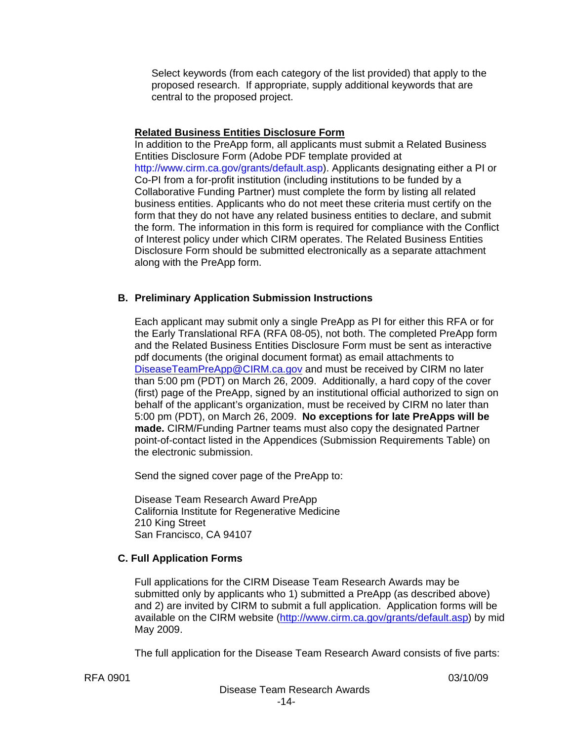Select keywords (from each category of the list provided) that apply to the proposed research. If appropriate, supply additional keywords that are central to the proposed project.

#### **Related Business Entities Disclosure Form**

In addition to the PreApp form, all applicants must submit a Related Business Entities Disclosure Form (Adobe PDF template provided at http://www.cirm.ca.gov/grants/default.asp). Applicants designating either a PI or Co-PI from a for-profit institution (including institutions to be funded by a Collaborative Funding Partner) must complete the form by listing all related business entities. Applicants who do not meet these criteria must certify on the form that they do not have any related business entities to declare, and submit the form. The information in this form is required for compliance with the Conflict of Interest policy under which CIRM operates. The Related Business Entities Disclosure Form should be submitted electronically as a separate attachment along with the PreApp form.

#### **B. Preliminary Application Submission Instructions**

Each applicant may submit only a single PreApp as PI for either this RFA or for the Early Translational RFA (RFA 08-05), not both. The completed PreApp form and the Related Business Entities Disclosure Form must be sent as interactive pdf documents (the original document format) as email attachments to [DiseaseTeamPreApp@CIRM.ca.gov](mailto:DiseaseTeamPreApp@CIRM.ca.gov) and must be received by CIRM no later than 5:00 pm (PDT) on March 26, 2009. Additionally, a hard copy of the cover (first) page of the PreApp, signed by an institutional official authorized to sign on behalf of the applicant's organization, must be received by CIRM no later than 5:00 pm (PDT), on March 26, 2009. **No exceptions for late PreApps will be made.** CIRM/Funding Partner teams must also copy the designated Partner point-of-contact listed in the Appendices (Submission Requirements Table) on the electronic submission.

Send the signed cover page of the PreApp to:

Disease Team Research Award PreApp California Institute for Regenerative Medicine 210 King Street San Francisco, CA 94107

#### **C. Full Application Forms**

Full applications for the CIRM Disease Team Research Awards may be submitted only by applicants who 1) submitted a PreApp (as described above) and 2) are invited by CIRM to submit a full application. Application forms will be available on the CIRM website [\(http://www.cirm.ca.gov/grants/default.asp](http://www.cirm.ca.gov/grants/default.asp)) by mid May 2009.

The full application for the Disease Team Research Award consists of five parts: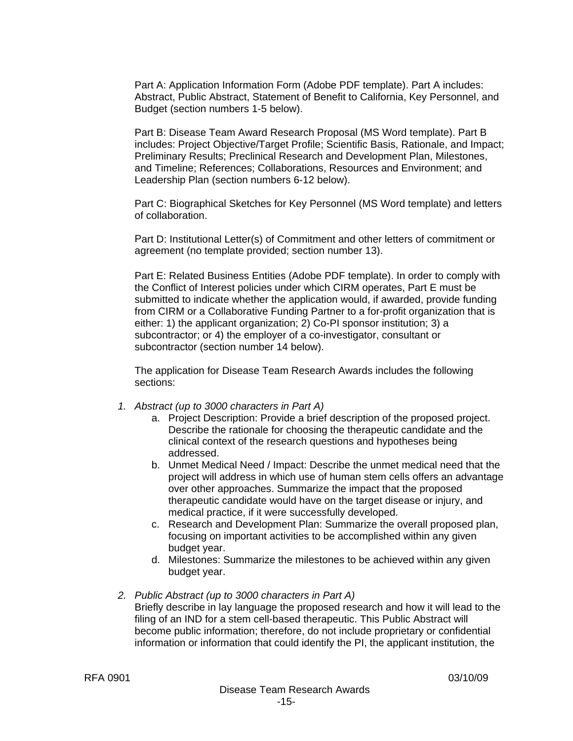Part A: Application Information Form (Adobe PDF template). Part A includes: Abstract, Public Abstract, Statement of Benefit to California, Key Personnel, and Budget (section numbers 1-5 below).

Part B: Disease Team Award Research Proposal (MS Word template). Part B includes: Project Objective/Target Profile; Scientific Basis, Rationale, and Impact; Preliminary Results; Preclinical Research and Development Plan, Milestones, and Timeline; References; Collaborations, Resources and Environment; and Leadership Plan (section numbers 6-12 below).

Part C: Biographical Sketches for Key Personnel (MS Word template) and letters of collaboration.

P art D: Institutional Letter(s) of Commitment and other letters of commitment or a greement (no template provided; section number 13).

Part E: Related Business Entities (Adobe PDF template). In order to comply with the Conflict of Interest policies under which CIRM operates, Part E must be submitted to indicate whether the application would, if awarded, provide funding from CIRM or a Collaborative Funding Partner to a for-profit organization that is either: 1) the applicant organization; 2) Co-PI sponsor institution; 3) a subcontractor; or 4) the employer of a co-investigator, consultant or subcontractor (section number 14 below).

The application for Disease Team Research Awards includes the following sections:

- *1. Abstract (up to 3000 characters in Part A)* 
	- a. Project Description: Provide a brief description of the proposed project. Describe the rationale for choosing the therapeutic candidate and the clinical context of the research questions and hypotheses being addressed.
	- b. Unmet Medical Need / Impact: Describe the unmet medical need that the project will address in which use of human stem cells offers an advantage over other approaches. Summarize the impact that the proposed therapeutic candidate would have on the target disease or injury, and medical practice, if it were successfully developed.
	- c. Research and Development Plan: Summarize the overall proposed plan, focusing on important activities to be accomplished within any given budget year.
	- d. Milestones: Summarize the milestones to be achieved within any given budget year.

#### *2. Public Abstract (up to 3000 characters in Part A)*  Briefly describe in lay language the proposed research and how it will lead to the filing of an IND for a stem cell-based therapeutic. This Public Abstract will become public information; therefore, do not include proprietary or confidential information or information that could identify the PI, the applicant institution, the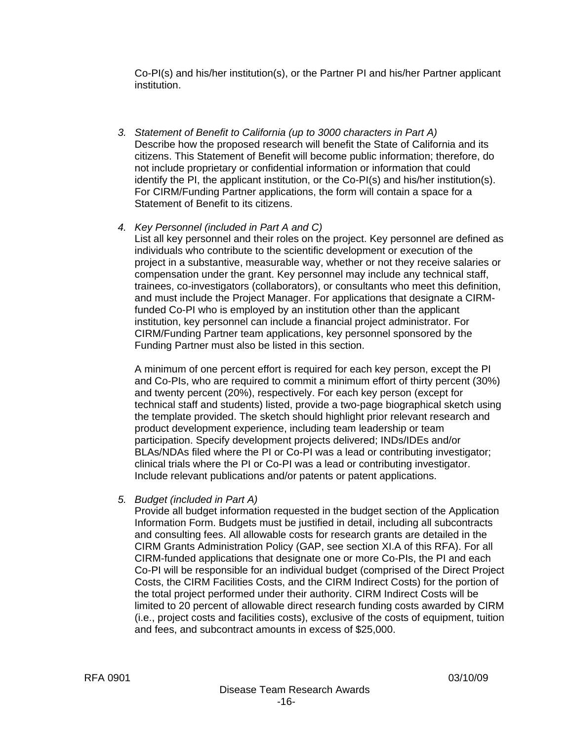Co-PI(s) and his/her institution(s), or the Partner PI and his/her Partner applicant institution.

- *3. Statement of Benefit to California (up to 3000 characters in Part A)*  Describe how the proposed research will benefit the State of California and its citizens. This Statement of Benefit will become public information; therefore, do not include proprietary or confidential information or information that could identify the PI, the applicant institution, or the Co-PI(s) and his/her institution(s). For CIRM/Funding Partner applications, the form will contain a space for a Statement of Benefit to its citizens.
- *4. Key Personnel (included in Part A and C)*

List all key personnel and their roles on the project. Key personnel are defined as individuals who contribute to the scientific development or execution of the project in a substantive, measurable way, whether or not they receive salaries or compensation under the grant. Key personnel may include any technical staff, trainees, co-investigators (collaborators), or consultants who meet this definition, and must include the Project Manager. For applications that designate a CIRMfunded Co-PI who is employed by an institution other than the applicant institution, key personnel can include a financial project administrator. For CIRM/Funding Partner team applications, key personnel sponsored by the Funding Partner must also be listed in this section.

A minimum of one percent effort is required for each key person, except the PI and Co-PIs, who are required to commit a minimum effort of thirty percent (30%) and twenty percent (20%), respectively. For each key person (except for technical staff and students) listed, provide a two-page biographical sketch using the template provided. The sketch should highlight prior relevant research and product development experience, including team leadership or team participation. Specify development projects delivered; INDs/IDEs and/or BLAs/NDAs filed where the PI or Co-PI was a lead or contributing investigator; clinical trials where the PI or Co-PI was a lead or contributing investigator. Include relevant publications and/or patents or patent applications.

*5. Budget (included in Part A)* 

Provide all budget information requested in the budget section of the Application Information Form. Budgets must be justified in detail, including all subcontracts and consulting fees. All allowable costs for research grants are detailed in the CIRM Grants Administration Policy (GAP, see section XI.A of this RFA). For all CIRM-funded applications that designate one or more Co-PIs, the PI and each Co-PI will be responsible for an individual budget (comprised of the Direct Project Costs, the CIRM Facilities Costs, and the CIRM Indirect Costs) for the portion of the total project performed under their authority. CIRM Indirect Costs will be limited to 20 percent of allowable direct research funding costs awarded by CIRM (i.e., project costs and facilities costs), exclusive of the costs of equipment, tuition and fees, and subcontract amounts in excess of \$25,000.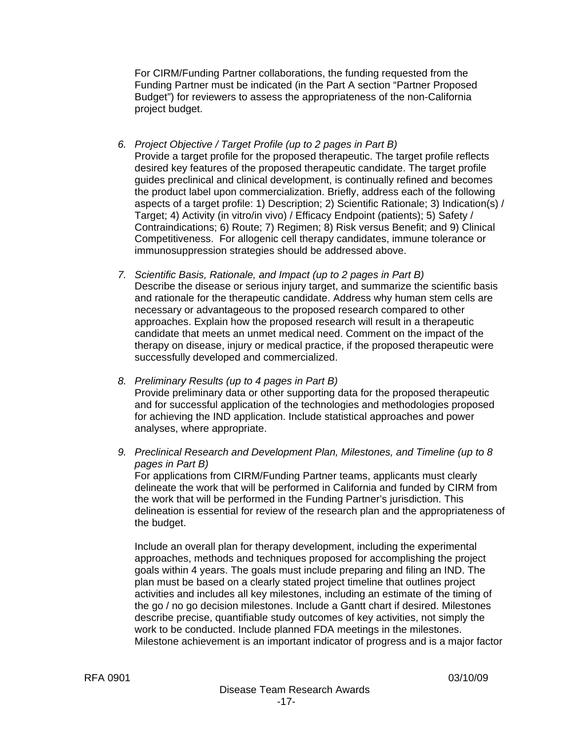For CIRM/Funding Partner collaborations, the funding requested from the Funding Partner must be indicated (in the Part A section "Partner Proposed Budget") for reviewers to assess the appropriateness of the non-California project budget.

- *6. Project Objective / Target Profile (up to 2 pages in Part B)*  Provide a target profile for the proposed therapeutic. The target profile reflects desired key features of the proposed therapeutic candidate. The target profile guides preclinical and clinical development, is continually refined and becomes the product label upon commercialization. Briefly, address each of the following aspects of a target profile: 1) Description; 2) Scientific Rationale; 3) Indication(s) / Target; 4) Activity (in vitro/in vivo) / Efficacy Endpoint (patients); 5) Safety / Contraindications; 6) Route; 7) Regimen; 8) Risk versus Benefit; and 9) Clinical Competitiveness. For allogenic cell therapy candidates, immune tolerance or immunosuppression strategies should be addressed above.
- *7. Scientific Basis, Rationale, and Impact (up to 2 pages in Part B)*  Describe the disease or serious injury target, and summarize the scientific basis and rationale for the therapeutic candidate. Address why human stem cells are necessary or advantageous to the proposed research compared to other approaches. Explain how the proposed research will result in a therapeutic candidate that meets an unmet medical need. Comment on the impact of the therapy on disease, injury or medical practice, if the proposed therapeutic were successfully developed and commercialized.
- *8. Preliminary Results (up to 4 pages in Part B)*  Provide preliminary data or other supporting data for the proposed therapeutic and for successful application of the technologies and methodologies proposed for achieving the IND application. Include statistical approaches and power analyses, where appropriate.
- *9. Preclinical Research and Development Plan, Milestones, and Timeline (up to 8 pages in Part B)*

For applications from CIRM/Funding Partner teams, applicants must clearly delineate the work that will be performed in California and funded by CIRM from the work that will be performed in the Funding Partner's jurisdiction. This delineation is essential for review of the research plan and the appropriateness of the budget.

Include an overall plan for therapy development, including the experimental approaches, methods and techniques proposed for accomplishing the project goals within 4 years. The goals must include preparing and filing an IND. The plan must be based on a clearly stated project timeline that outlines project activities and includes all key milestones, including an estimate of the timing of the go / no go decision milestones. Include a Gantt chart if desired. Milestones describe precise, quantifiable study outcomes of key activities, not simply the work to be conducted. Include planned FDA meetings in the milestones. Milestone achievement is an important indicator of progress and is a major factor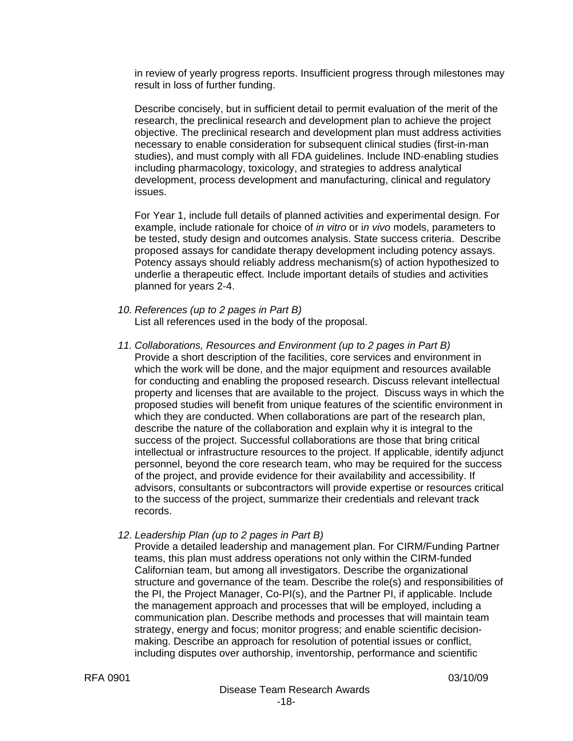in review of yearly progress reports. Insufficient progress through milestones may result in loss of further funding.

Describe concisely, but in sufficient detail to permit evaluation of the merit of the research, the preclinical research and development plan to achieve the project objective. The preclinical research and development plan must address activities necessary to enable consideration for subsequent clinical studies (first-in-man studies), and must comply with all FDA guidelines. Include IND-enabling studies including pharmacology, toxicology, and strategies to address analytical development, process development and manufacturing, clinical and regulatory issues.

For Year 1, include full details of planned activities and experimental design. For example, include rationale for choice of *in vitro* or i*n vivo* models, parameters to be tested, study design and outcomes analysis. State success criteria. Describe proposed assays for candidate therapy development including potency assays. Potency assays should reliably address mechanism(s) of action hypothesized to underlie a therapeutic effect. Include important details of studies and activities planned for years 2-4.

- *10. References (up to 2 pages in Part B)*  List all references used in the body of the proposal.
- *11. Collaborations, Resources and Environment (up to 2 pages in Part B)*  Provide a short description of the facilities, core services and environment in which the work will be done, and the major equipment and resources available for conducting and enabling the proposed research. Discuss relevant intellectual property and licenses that are available to the project. Discuss ways in which the proposed studies will benefit from unique features of the scientific environment in which they are conducted. When collaborations are part of the research plan, describe the nature of the collaboration and explain why it is integral to the success of the project. Successful collaborations are those that bring critical intellectual or infrastructure resources to the project. If applicable, identify adjunct personnel, beyond the core research team, who may be required for the success of the project, and provide evidence for their availability and accessibility. If advisors, consultants or subcontractors will provide expertise or resources critical to the success of the project, summarize their credentials and relevant track records.
- *12. Leadership Plan (up to 2 pages in Part B)*

Provide a detailed leadership and management plan. For CIRM/Funding Partner teams, this plan must address operations not only within the CIRM-funded Californian team, but among all investigators. Describe the organizational structure and governance of the team. Describe the role(s) and responsibilities of the PI, the Project Manager, Co-PI(s), and the Partner PI, if applicable. Include the management approach and processes that will be employed, including a communication plan. Describe methods and processes that will maintain team strategy, energy and focus; monitor progress; and enable scientific decisionmaking. Describe an approach for resolution of potential issues or conflict, including disputes over authorship, inventorship, performance and scientific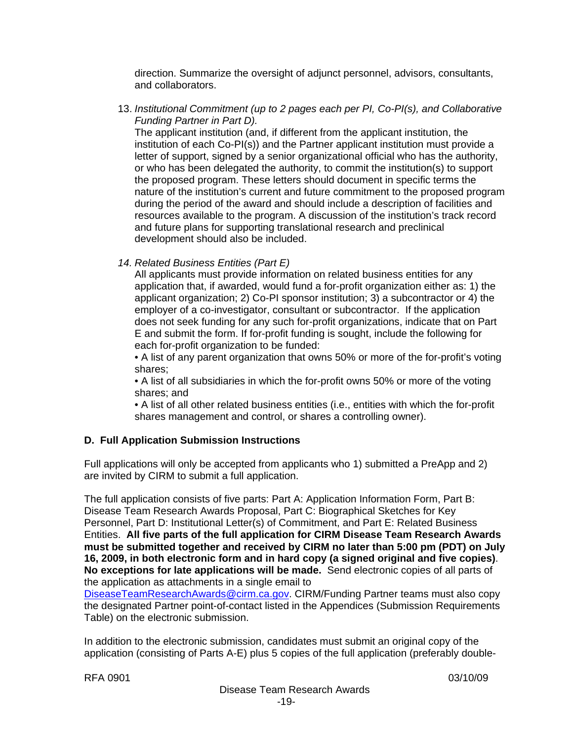direction. Summarize the oversight of adjunct personnel, advisors, consultants, and collaborators.

13. *Institutional Commitment (up to 2 pages each per PI, Co-PI(s), and Collaborative Funding Partner in Part D).*

The applicant institution (and, if different from the applicant institution, the institution of each Co-PI(s)) and the Partner applicant institution must provide a letter of support, signed by a senior organizational official who has the authority, or who has been delegated the authority, to commit the institution(s) to support the proposed program. These letters should document in specific terms the nature of the institution's current and future commitment to the proposed program during the period of the award and should include a description of facilities and resources available to the program. A discussion of the institution's track record and future plans for supporting translational research and preclinical development should also be included.

#### *14. Related Business Entities (Part E)*

All applicants must provide information on related business entities for any application that, if awarded, would fund a for-profit organization either as: 1) the applicant organization; 2) Co-PI sponsor institution; 3) a subcontractor or 4) the employer of a co-investigator, consultant or subcontractor. If the application does not seek funding for any such for-profit organizations, indicate that on Part E and submit the form. If for-profit funding is sought, include the following for each for-profit organization to be funded:

• A list of any parent organization that owns 50% or more of the for-profit's voting shares;

• A list of all subsidiaries in which the for-profit owns 50% or more of the voting shares; and

• A list of all other related business entities (i.e., entities with which the for-profit shares management and control, or shares a controlling owner).

#### **D. Full Application Submission Instructions**

Full applications will only be accepted from applicants who 1) submitted a PreApp and 2) are invited by CIRM to submit a full application.

The full application consists of five parts: Part A: Application Information Form, Part B: Disease Team Research Awards Proposal, Part C: Biographical Sketches for Key Personnel, Part D: Institutional Letter(s) of Commitment, and Part E: Related Business Entities. **All five parts of the full application for CIRM Disease Team Research Awards must be submitted together and received by CIRM no later than 5:00 pm (PDT) on July 16, 2009, in both electronic form and in hard copy (a signed original and five copies)**. **No exceptions for late applications will be made.** Send electronic copies of all parts of the application as attachments in a single email to

DiseaseTeamResearch[Awards@cirm.ca.gov.](mailto:Awards@cirm.ca.gov) CIRM/Funding Partner teams must also copy the designated Partner point-of-contact listed in the Appendices (Submission Requirements Table) on the electronic submission.

In addition to the electronic submission, candidates must submit an original copy of the application (consisting of Parts A-E) plus 5 copies of the full application (preferably double-

RFA 0901 03/10/09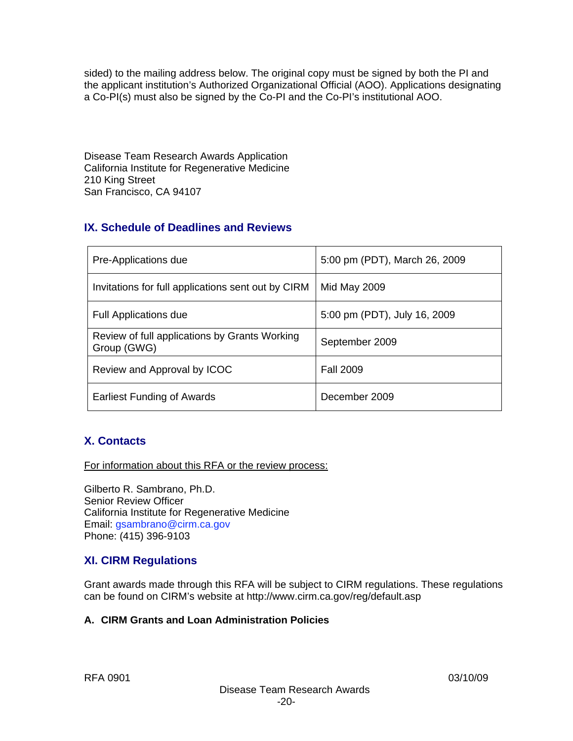sided) to the mailing address below. The original copy must be signed by both the PI and the applicant institution's Authorized Organizational Official (AOO). Applications designating a Co-PI(s) must also be signed by the Co-PI and the Co-PI's institutional AOO.

Disease Team Research Awards Application California Institute for Regenerative Medicine 210 King Street San Francisco, CA 94107

# **IX. Schedule of Deadlines and Reviews**

| Pre-Applications due                                         | 5:00 pm (PDT), March 26, 2009 |
|--------------------------------------------------------------|-------------------------------|
| Invitations for full applications sent out by CIRM           | <b>Mid May 2009</b>           |
| <b>Full Applications due</b>                                 | 5:00 pm (PDT), July 16, 2009  |
| Review of full applications by Grants Working<br>Group (GWG) | September 2009                |
| Review and Approval by ICOC                                  | <b>Fall 2009</b>              |
| <b>Earliest Funding of Awards</b>                            | December 2009                 |

# **X. Contacts**

For information about this RFA or the review process:

Gilberto R. Sambrano, Ph.D. Senior Review Officer California Institute for Regenerative Medicine Email: gsambrano@cirm.ca.gov Phone: (415) 396-9103

# **XI. CIRM Regulations**

Grant awards made through this RFA will be subject to CIRM regulations. These regulations can be found on CIRM's website at http://www.cirm.ca.gov/reg/default.asp

# **A. CIRM Grants and Loan Administration Policies**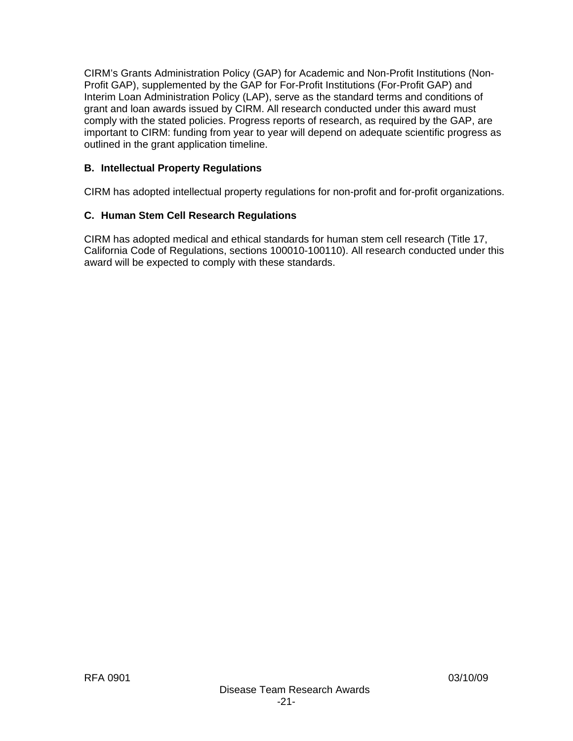CIRM's Grants Administration Policy (GAP) for Academic and Non-Profit Institutions (Non-Profit GAP), supplemented by the GAP for For-Profit Institutions (For-Profit GAP) and Interim Loan Administration Policy (LAP), serve as the standard terms and conditions of grant and loan awards issued by CIRM. All research conducted under this award must comply with the stated policies. Progress reports of research, as required by the GAP, are important to CIRM: funding from year to year will depend on adequate scientific progress as outlined in the grant application timeline.

# **B. Intellectual Property Regulations**

CIRM has adopted intellectual property regulations for non-profit and for-profit organizations.

# **C. Human Stem Cell Research Regulations**

CIRM has adopted medical and ethical standards for human stem cell research (Title 17, California Code of Regulations, sections 100010-100110). All research conducted under this award will be expected to comply with these standards.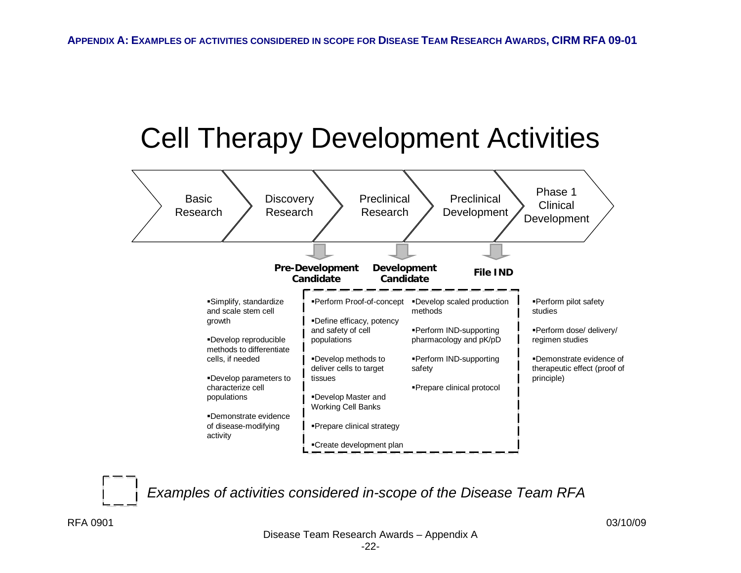# Cell Therapy Development Activities



*Examples of activities considered in-scope of the Disease Team RFA*

RFA 0901 03/10/09

Disease Team Research Awards – Appendix A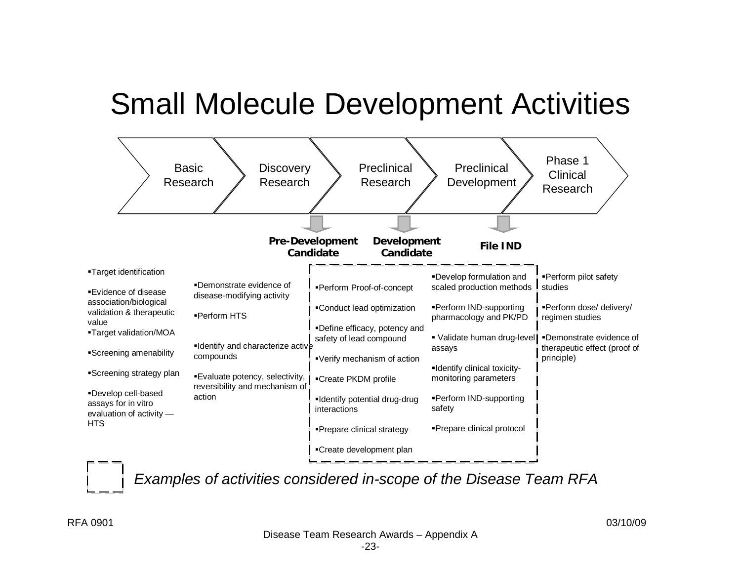# Small Molecule Development Activities





*Examples of activities considered in-scope of the Disease Team RFA*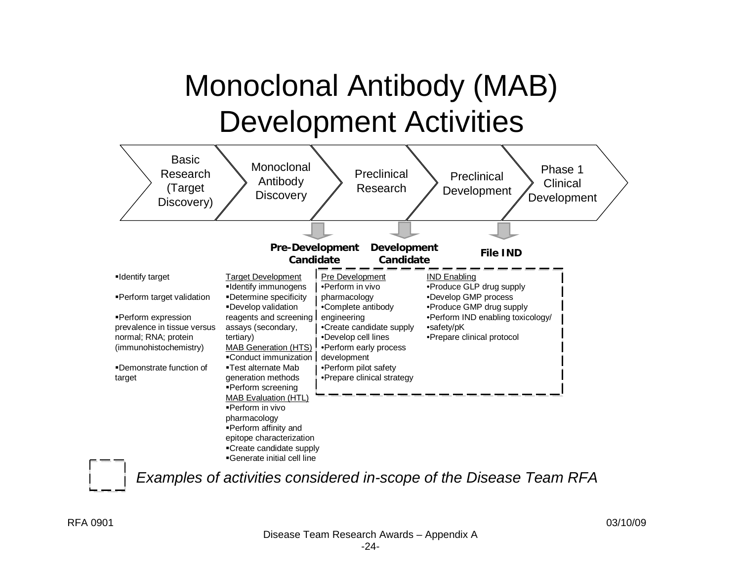# Monoclonal Antibody (MAB) Development Activities



*Examples of activities considered in-scope of the Disease Team RFA*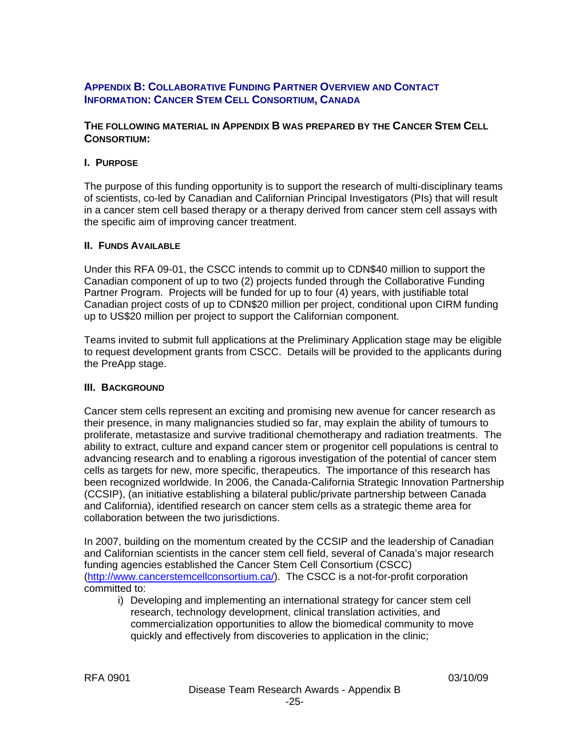# **APPENDIX B: COLLABORATIVE FUNDING PARTNER OVERVIEW AND CONTACT INFORMATION: CANCER STEM CELL CONSORTIUM, CANADA**

#### **THE FOLLOWING MATERIAL IN APPENDIX B WAS PREPARED BY THE CANCER STEM CELL CONSORTIUM:**

#### **I. PURPOSE**

The purpose of this funding opportunity is to support the research of multi-disciplinary teams of scientists, co-led by Canadian and Californian Principal Investigators (PIs) that will result in a cancer stem cell based therapy or a therapy derived from cancer stem cell assays with the specific aim of improving cancer treatment.

#### **II. FUNDS AVAILABLE**

Under this RFA 09-01, the CSCC intends to commit up to CDN\$40 million to support the Canadian component of up to two (2) projects funded through the Collaborative Funding Partner Program. Projects will be funded for up to four (4) years, with justifiable total Canadian project costs of up to CDN\$20 million per project, conditional upon CIRM funding up to US\$20 million per project to support the Californian component.

Teams invited to submit full applications at the Preliminary Application stage may be eligible to request development grants from CSCC. Details will be provided to the applicants during the PreApp stage.

#### **III. BACKGROUND**

Cancer stem cells represent an exciting and promising new avenue for cancer research as their presence, in many malignancies studied so far, may explain the ability of tumours to proliferate, metastasize and survive traditional chemotherapy and radiation treatments. The ability to extract, culture and expand cancer stem or progenitor cell populations is central to advancing research and to enabling a rigorous investigation of the potential of cancer stem cells as targets for new, more specific, therapeutics. The importance of this research has been recognized worldwide. In 2006, the Canada-California Strategic Innovation Partnership (CCSIP), (an initiative establishing a bilateral public/private partnership between Canada and California), identified research on cancer stem cells as a strategic theme area for collaboration between the two jurisdictions.

In 2007, building on the momentum created by the CCSIP and the leadership of Canadian and Californian scientists in the cancer stem cell field, several of Canada's major research funding agencies established the Cancer Stem Cell Consortium (CSCC) ([http://www.cancerstemcellconsortium.ca/\)](http://www.cancerstemcellconsortium.ca/). The CSCC is a not-for-profit corporation committed to:

i) Developing and implementing an international strategy for cancer stem cell research, technology development, clinical translation activities, and commercialization opportunities to allow the biomedical community to move quickly and effectively from discoveries to application in the clinic;

RFA 0901 03/10/09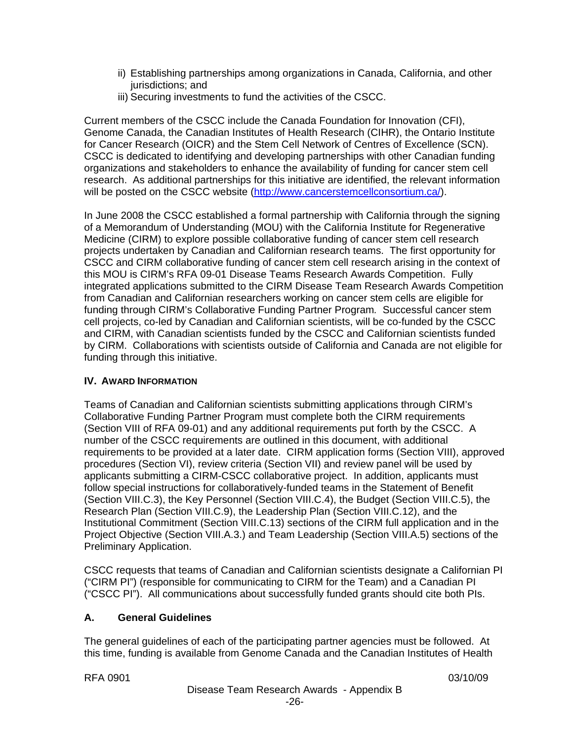- ii) Establishing partnerships among organizations in Canada, California, and other jurisdictions; and
- iii) Securing investments to fund the activities of the CSCC.

Current members of the CSCC include the Canada Foundation for Innovation (CFI), Genome Canada, the Canadian Institutes of Health Research (CIHR), the Ontario Institute for Cancer Research (OICR) and the Stem Cell Network of Centres of Excellence (SCN). CSCC is dedicated to identifying and developing partnerships with other Canadian funding organizations and stakeholders to enhance the availability of funding for cancer stem cell research. As additional partnerships for this initiative are identified, the relevant information will be posted on the CSCC website ([http://www.cancerstemcellconsortium.ca/\)](http://www.cancerstemcellconsortium.ca/).

In June 2008 the CSCC established a formal partnership with California through the signing of a Memorandum of Understanding (MOU) with the California Institute for Regenerative Medicine (CIRM) to explore possible collaborative funding of cancer stem cell research projects undertaken by Canadian and Californian research teams. The first opportunity for CSCC and CIRM collaborative funding of cancer stem cell research arising in the context of this MOU is CIRM's RFA 09-01 Disease Teams Research Awards Competition. Fully integrated applications submitted to the CIRM Disease Team Research Awards Competition from Canadian and Californian researchers working on cancer stem cells are eligible for funding through CIRM's Collaborative Funding Partner Program*.* Successful cancer stem cell projects, co-led by Canadian and Californian scientists, will be co-funded by the CSCC and CIRM, with Canadian scientists funded by the CSCC and Californian scientists funded by CIRM. Collaborations with scientists outside of California and Canada are not eligible for funding through this initiative.

# **IV. AWARD INFORMATION**

Teams of Canadian and Californian scientists submitting applications through CIRM's Collaborative Funding Partner Program must complete both the CIRM requirements (Section VIII of RFA 09-01) and any additional requirements put forth by the CSCC. A number of the CSCC requirements are outlined in this document, with additional requirements to be provided at a later date. CIRM application forms (Section VIII), approved procedures (Section VI), review criteria (Section VII) and review panel will be used by applicants submitting a CIRM-CSCC collaborative project. In addition, applicants must follow special instructions for collaboratively-funded teams in the Statement of Benefit (Section VIII.C.3), the Key Personnel (Section VIII.C.4), the Budget (Section VIII.C.5), the Research Plan (Section VIII.C.9), the Leadership Plan (Section VIII.C.12), and the Institutional Commitment (Section VIII.C.13) sections of the CIRM full application and in the Project Objective (Section VIII.A.3.) and Team Leadership (Section VIII.A.5) sections of the Preliminary Application.

CSCC requests that teams of Canadian and Californian scientists designate a Californian PI ("CIRM PI") (responsible for communicating to CIRM for the Team) and a Canadian PI ("CSCC PI"). All communications about successfully funded grants should cite both PIs.

# **A. General Guidelines**

The general guidelines of each of the participating partner agencies must be followed. At this time, funding is available from Genome Canada and the Canadian Institutes of Health

RFA 0901 03/10/09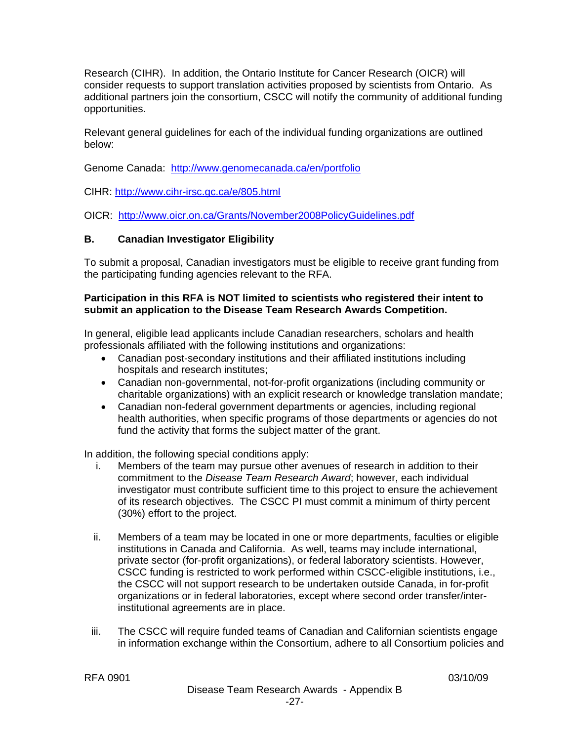Research (CIHR). In addition, the Ontario Institute for Cancer Research (OICR) will consider requests to support translation activities proposed by scientists from Ontario. As additional partners join the consortium, CSCC will notify the community of additional funding opportunities.

Relevant general guidelines for each of the individual funding organizations are outlined below:

Genome Canada: http:/[/www.genomecanada.ca/](http://www.genomecanada.ca/)en/portfolio

CIHR: <http://www.cihr-irsc.gc.ca/e/805.html>

OICR: <http://www.oicr.on.ca/Grants/November2008PolicyGuidelines.pdf>

#### **B. Canadian Investigator Eligibility**

To submit a proposal, Canadian investigators must be eligible to receive grant funding from the participating funding agencies relevant to the RFA.

#### **Participation in this RFA is NOT limited to scientists who registered their intent to submit an application to the Disease Team Research Awards Competition.**

In general, eligible lead applicants include Canadian researchers, scholars and health professionals affiliated with the following institutions and organizations:

- Canadian post-secondary institutions and their affiliated institutions including hospitals and research institutes;
- Canadian non-governmental, not-for-profit organizations (including community or charitable organizations) with an explicit research or knowledge translation mandate;
- Canadian non-federal government departments or agencies, including regional health authorities, when specific programs of those departments or agencies do not fund the activity that forms the subject matter of the grant.

In addition, the following special conditions apply:

- i. Members of the team may pursue other avenues of research in addition to their commitment to the *Disease Team Research Award*; however, each individual investigator must contribute sufficient time to this project to ensure the achievement of its research objectives. The CSCC PI must commit a minimum of thirty percent (30%) effort to the project.
- ii. Members of a team may be located in one or more departments, faculties or eligible institutions in Canada and California. As well, teams may include international, private sector (for-profit organizations), or federal laboratory scientists. However, CSCC funding is restricted to work performed within CSCC-eligible institutions, i.e., the CSCC will not support research to be undertaken outside Canada, in for-profit organizations or in federal laboratories, except where second order transfer/interinstitutional agreements are in place.
- iii. The CSCC will require funded teams of Canadian and Californian scientists engage in information exchange within the Consortium, adhere to all Consortium policies and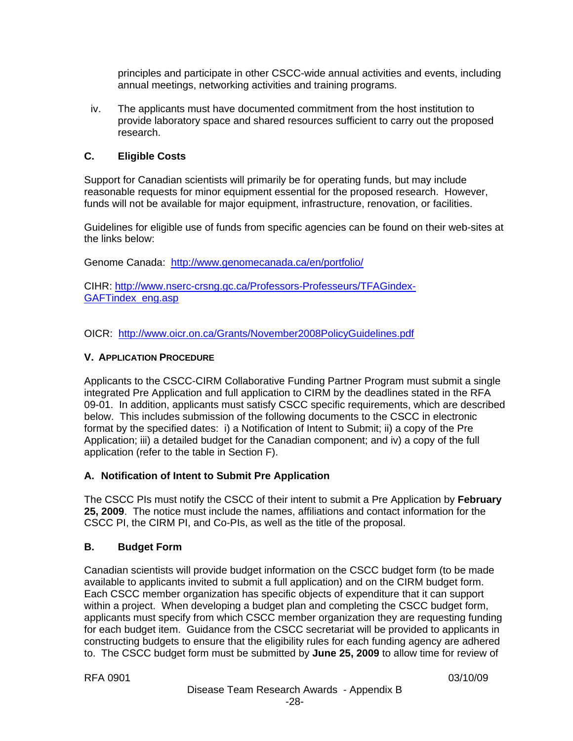principles and participate in other CSCC-wide annual activities and events, including annual meetings, networking activities and training programs.

iv. The applicants must have documented commitment from the host institution to provide laboratory space and shared resources sufficient to carry out the proposed research.

#### **C. Eligible Costs**

Support for Canadian scientists will primarily be for operating funds, but may include reasonable requests for minor equipment essential for the proposed research. However, funds will not be available for major equipment, infrastructure, renovation, or facilities.

Guidelines for eligible use of funds from specific agencies can be found on their web-sites at the links below:

Genome Canada: http:/[/www.genomecanada.ca/](http://www.genomecanada.ca/)en/portfolio/

CIHR: [http://www.nserc-crsng.gc.ca/Professors-Professeurs/TFAGindex-](http://www.nserc-crsng.gc.ca/Professors-Professeurs/TFAGindex-GAFTindex_eng.asp)[GAFTindex\\_eng.asp](http://www.nserc-crsng.gc.ca/Professors-Professeurs/TFAGindex-GAFTindex_eng.asp)

OICR: <http://www.oicr.on.ca/Grants/November2008PolicyGuidelines.pdf>

#### **V. APPLICATION PROCEDURE**

Applicants to the CSCC-CIRM Collaborative Funding Partner Program must submit a single integrated Pre Application and full application to CIRM by the deadlines stated in the RFA 09-01. In addition, applicants must satisfy CSCC specific requirements, which are described below. This includes submission of the following documents to the CSCC in electronic format by the specified dates: i) a Notification of Intent to Submit; ii) a copy of the Pre Application; iii) a detailed budget for the Canadian component; and iv) a copy of the full application (refer to the table in Section F).

#### **A. Notification of Intent to Submit Pre Application**

The CSCC PIs must notify the CSCC of their intent to submit a Pre Application by **February 25, 2009**. The notice must include the names, affiliations and contact information for the CSCC PI, the CIRM PI, and Co-PIs, as well as the title of the proposal.

#### **B. Budget Form**

Canadian scientists will provide budget information on the CSCC budget form (to be made available to applicants invited to submit a full application) and on the CIRM budget form. Each CSCC member organization has specific objects of expenditure that it can support within a project. When developing a budget plan and completing the CSCC budget form, applicants must specify from which CSCC member organization they are requesting funding for each budget item. Guidance from the CSCC secretariat will be provided to applicants in constructing budgets to ensure that the eligibility rules for each funding agency are adhered to. The CSCC budget form must be submitted by **June 25, 2009** to allow time for review of

RFA 0901 03/10/09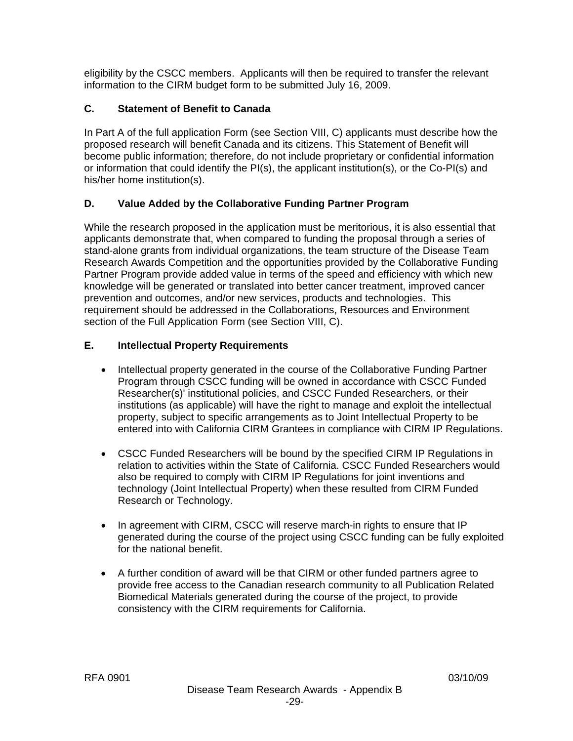eligibility by the CSCC members. Applicants will then be required to transfer the relevant information to the CIRM budget form to be submitted July 16, 2009.

# **C. Statement of Benefit to Canada**

In Part A of the full application Form (see Section VIII, C) applicants must describe how the proposed research will benefit Canada and its citizens. This Statement of Benefit will become public information; therefore, do not include proprietary or confidential information or information that could identify the PI(s), the applicant institution(s), or the Co-PI(s) and his/her home institution(s).

# **D. Value Added by the Collaborative Funding Partner Program**

While the research proposed in the application must be meritorious, it is also essential that applicants demonstrate that, when compared to funding the proposal through a series of stand-alone grants from individual organizations, the team structure of the Disease Team Research Awards Competition and the opportunities provided by the Collaborative Funding Partner Program provide added value in terms of the speed and efficiency with which new knowledge will be generated or translated into better cancer treatment, improved cancer prevention and outcomes, and/or new services, products and technologies. This requirement should be addressed in the Collaborations, Resources and Environment section of the Full Application Form (see Section VIII, C).

# **E. Intellectual Property Requirements**

- Intellectual property generated in the course of the Collaborative Funding Partner Program through CSCC funding will be owned in accordance with CSCC Funded Researcher(s)' institutional policies, and CSCC Funded Researchers, or their institutions (as applicable) will have the right to manage and exploit the intellectual property, subject to specific arrangements as to Joint Intellectual Property to be entered into with California CIRM Grantees in compliance with CIRM IP Regulations.
- CSCC Funded Researchers will be bound by the specified CIRM IP Regulations in relation to activities within the State of California. CSCC Funded Researchers would also be required to comply with CIRM IP Regulations for joint inventions and technology (Joint Intellectual Property) when these resulted from CIRM Funded Research or Technology.
- In agreement with CIRM, CSCC will reserve march-in rights to ensure that IP generated during the course of the project using CSCC funding can be fully exploited for the national benefit.
- A further condition of award will be that CIRM or other funded partners agree to provide free access to the Canadian research community to all Publication Related Biomedical Materials generated during the course of the project, to provide consistency with the CIRM requirements for California.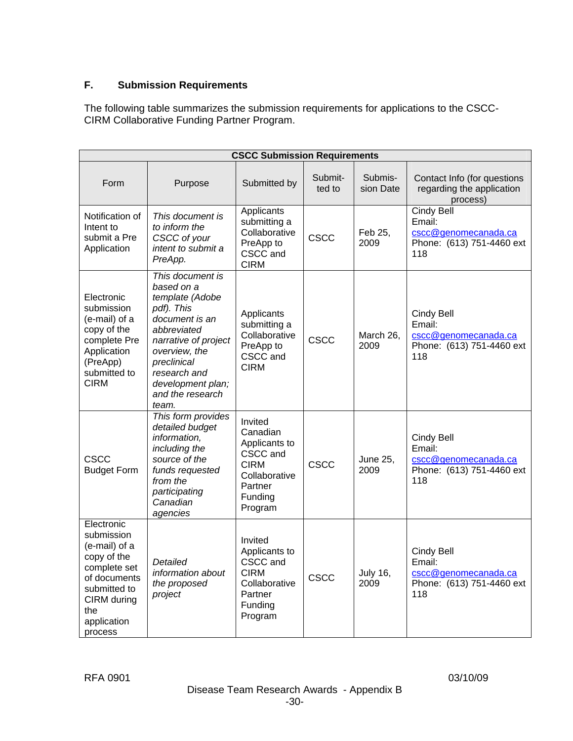# **F. Submission Requirements**

The following table summarizes the submission requirements for applications to the CSCC-CIRM Collaborative Funding Partner Program.

| <b>CSCC Submission Requirements</b>                                                                                                                      |                                                                                                                                                                                                                            |                                                                                                                   |                   |                         |                                                                                         |  |  |  |
|----------------------------------------------------------------------------------------------------------------------------------------------------------|----------------------------------------------------------------------------------------------------------------------------------------------------------------------------------------------------------------------------|-------------------------------------------------------------------------------------------------------------------|-------------------|-------------------------|-----------------------------------------------------------------------------------------|--|--|--|
| Form                                                                                                                                                     | Purpose                                                                                                                                                                                                                    | Submitted by                                                                                                      | Submit-<br>ted to | Submis-<br>sion Date    | Contact Info (for questions<br>regarding the application<br>process)                    |  |  |  |
| Notification of<br>Intent to<br>submit a Pre<br>Application                                                                                              | This document is<br>to inform the<br>CSCC of your<br>intent to submit a<br>PreApp.                                                                                                                                         | Applicants<br>submitting a<br>Collaborative<br>PreApp to<br>CSCC and<br><b>CIRM</b>                               | <b>CSCC</b>       | Feb 25,<br>2009         | <b>Cindy Bell</b><br>Email:<br>cscc@genomecanada.ca<br>Phone: (613) 751-4460 ext<br>118 |  |  |  |
| Electronic<br>submission<br>(e-mail) of a<br>copy of the<br>complete Pre<br>Application<br>(PreApp)<br>submitted to<br><b>CIRM</b>                       | This document is<br>based on a<br>template (Adobe<br>pdf). This<br>document is an<br>abbreviated<br>narrative of project<br>overview, the<br>preclinical<br>research and<br>development plan;<br>and the research<br>team. | Applicants<br>submitting a<br>Collaborative<br>PreApp to<br>CSCC and<br><b>CIRM</b>                               | <b>CSCC</b>       | March 26,<br>2009       | Cindy Bell<br>Email:<br>cscc@genomecanada.ca<br>Phone: (613) 751-4460 ext<br>118        |  |  |  |
| <b>CSCC</b><br><b>Budget Form</b>                                                                                                                        | This form provides<br>detailed budget<br>information,<br>including the<br>source of the<br>funds requested<br>from the<br>participating<br>Canadian<br>agencies                                                            | Invited<br>Canadian<br>Applicants to<br>CSCC and<br><b>CIRM</b><br>Collaborative<br>Partner<br>Funding<br>Program | <b>CSCC</b>       | <b>June 25,</b><br>2009 | Cindy Bell<br>Email:<br>cscc@genomecanada.ca<br>Phone: (613) 751-4460 ext<br>118        |  |  |  |
| Electronic<br>submission<br>(e-mail) of a<br>copy of the<br>complete set<br>of documents<br>submitted to<br>CIRM during<br>the<br>application<br>process | Detailed<br>information about<br>the proposed<br>project                                                                                                                                                                   | Invited<br>Applicants to<br>CSCC and<br><b>CIRM</b><br>Collaborative<br>Partner<br>Funding<br>Program             | <b>CSCC</b>       | <b>July 16,</b><br>2009 | Cindy Bell<br>Email:<br>cscc@genomecanada.ca<br>Phone: (613) 751-4460 ext<br>118        |  |  |  |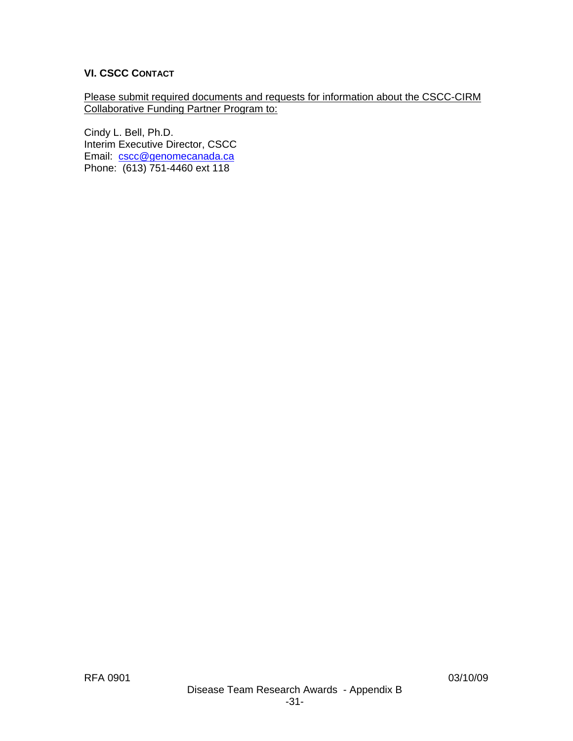# **VI. CSCC CONTACT**

Please submit required documents and requests for information about the CSCC-CIRM Collaborative Funding Partner Program to:

Cindy L. Bell, Ph.D. Interim Executive Director, CSCC Email: [cscc@genomecanada.ca](mailto:cscc@genomecanada.ca) Phone: (613) 751-4460 ext 118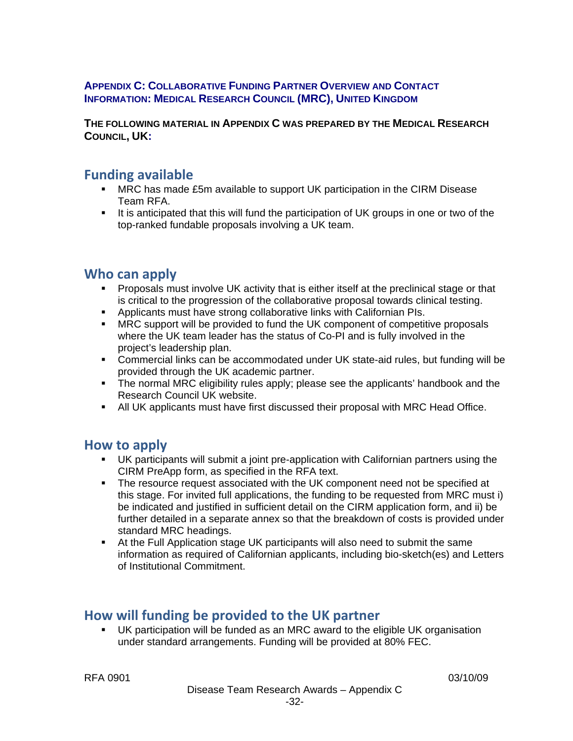#### **APPENDIX C: COLLABORATIVE FUNDING PARTNER OVERVIEW AND CONTACT INFORMATION: MEDICAL RESEARCH COUNCIL (MRC), UNITED KINGDOM**

**THE FOLLOWING MATERIAL IN APPENDIX C WAS PREPARED BY THE MEDICAL RESEARCH COUNCIL, UK:** 

# **Funding available**

- MRC has made £5m available to support UK participation in the CIRM Disease Team RFA.
- It is anticipated that this will fund the participation of UK groups in one or two of the top-ranked fundable proposals involving a UK team.

# **Who can apply**

- **Proposals must involve UK activity that is either itself at the preclinical stage or that** is critical to the progression of the collaborative proposal towards clinical testing.
- Applicants must have strong collaborative links with Californian PIs.
- **MRC support will be provided to fund the UK component of competitive proposals** where the UK team leader has the status of Co-PI and is fully involved in the project's leadership plan.
- Commercial links can be accommodated under UK state-aid rules, but funding will be provided through the UK academic partner.
- **The normal MRC eligibility rules apply; please see the [applicants' handbook](http://www.mrc.ac.uk/Utilities/Documentrecord/index.htm?d=MRC001873) and the** [Research Council UK](http://www.rcuk.ac.uk/research/eligibility.htm) website.
- All UK applicants must have first discussed their proposal with MRC Head Office.

# **How to apply**

- UK participants will submit a joint pre-application with Californian partners using the CIRM PreApp form, as specified in the RFA text.
- The resource request associated with the UK component need not be specified at this stage. For invited full applications, the funding to be requested from MRC must i) be indicated and justified in sufficient detail on the CIRM application form, and ii) be further detailed in a separate annex so that the breakdown of costs is provided under standard MRC headings.
- At the Full Application stage UK participants will also need to submit the same information as required of Californian applicants, including bio-sketch(es) and Letters of Institutional Commitment.

# **How will funding be provided to the UK partner**

 UK participation will be funded as an MRC award to the eligible UK organisation under standard arrangements. Funding will be provided at 80% FEC.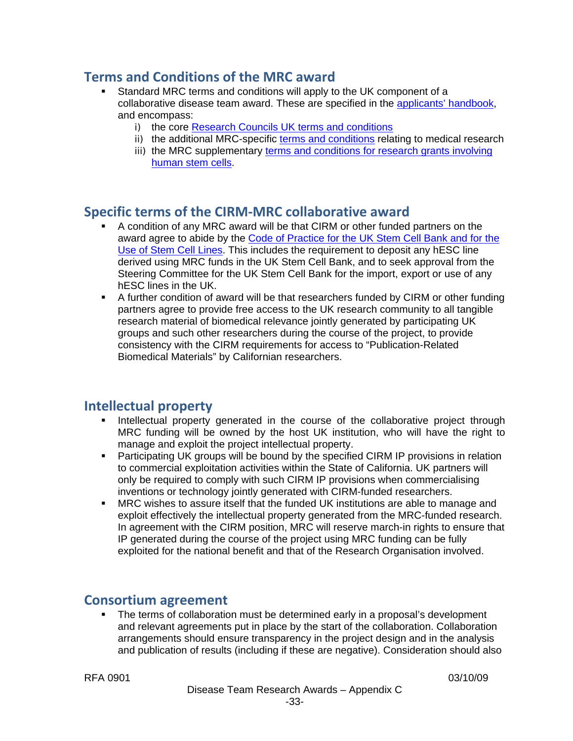# **Terms and Conditions of the MRC award**

- Standard MRC terms and conditions will apply to the UK component of a collaborative disease team award. These are specified in the [applicants' handbook,](http://www.mrc.ac.uk/Utilities/Documentrecord/index.htm?d=MRC001873) and encompass:
	- i) the core [Research Councils UK terms and conditions](http://www.rcuk.ac.uk/aboutrcuk/efficiency/tcfec.htm)
	- ii) the additional MRC-specific [terms and conditions](http://www.mrc.ac.uk/Utilities/Documentrecord/index.htm?d=MRC001898) relating to medical research
	- iii) the MRC supplementary [terms and conditions for research grants involving](http://www.mrc.ac.uk/Utilities/Documentrecord/index.htm?d=MRC001913)  [human stem cells.](http://www.mrc.ac.uk/Utilities/Documentrecord/index.htm?d=MRC001913)

# **Specific terms of the CIRM‐MRC collaborative award**

- A condition of any MRC award will be that CIRM or other funded partners on the award agree to abide by the [Code of Practice for the UK Stem Cell Bank and for the](http://www.mrc.ac.uk/Utilities/Documentrecord/index.htm?d=MRC003132)  [Use of Stem Cell Lines.](http://www.mrc.ac.uk/Utilities/Documentrecord/index.htm?d=MRC003132) This includes the requirement to deposit any hESC line derived using MRC funds in the UK Stem Cell Bank, and to seek approval from the Steering Committee for the UK Stem Cell Bank for the import, export or use of any hESC lines in the UK.
- A further condition of award will be that researchers funded by CIRM or other funding partners agree to provide free access to the UK research community to all tangible research material of biomedical relevance jointly generated by participating UK groups and such other researchers during the course of the project, to provide consistency with the CIRM requirements for access to "Publication-Related Biomedical Materials" by Californian researchers.

# **Intellectual property**

- Intellectual property generated in the course of the collaborative project through MRC funding will be owned by the host UK institution, who will have the right to manage and exploit the project intellectual property.
- Participating UK groups will be bound by the specified CIRM IP provisions in relation to commercial exploitation activities within the State of California. UK partners will only be required to comply with such CIRM IP provisions when commercialising inventions or technology jointly generated with CIRM-funded researchers.
- MRC wishes to assure itself that the funded UK institutions are able to manage and exploit effectively the intellectual property generated from the MRC-funded research. In agreement with the CIRM position, MRC will reserve march-in rights to ensure that IP generated during the course of the project using MRC funding can be fully exploited for the national benefit and that of the Research Organisation involved.

# **Consortium agreement**

 The terms of collaboration must be determined early in a proposal's development and relevant agreements put in place by the start of the collaboration. Collaboration arrangements should ensure transparency in the project design and in the analysis and publication of results (including if these are negative). Consideration should also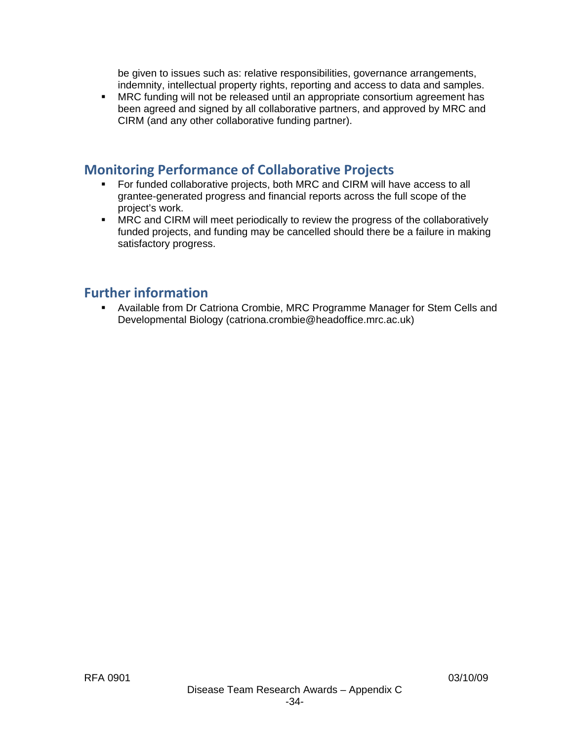be given to issues such as: relative responsibilities, governance arrangements, indemnity, intellectual property rights, reporting and access to data and samples.

**MRC funding will not be released until an appropriate consortium agreement has** been agreed and signed by all collaborative partners, and approved by MRC and CIRM (and any other collaborative funding partner).

# **Monitoring Performance of Collaborative Projects**

- For funded collaborative projects, both MRC and CIRM will have access to all grantee-generated progress and financial reports across the full scope of the project's work.
- **MRC and CIRM will meet periodically to review the progress of the collaboratively** funded projects, and funding may be cancelled should there be a failure in making satisfactory progress.

# **Further information**

 Available from Dr Catriona Crombie, MRC Programme Manager for Stem Cells and Developmental Biology (catriona.crombie@headoffice.mrc.ac.uk)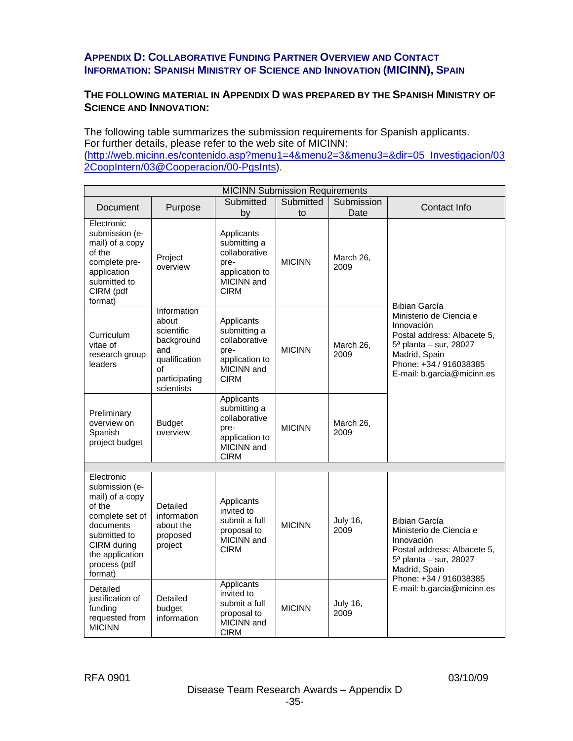#### **APPENDIX D: COLLABORATIVE FUNDING PARTNER OVERVIEW AND CONTACT INFORMATION: SPANISH MINISTRY OF SCIENCE AND INNOVATION (MICINN), SPAIN**

#### **THE FOLLOWING MATERIAL IN APPENDIX D WAS PREPARED BY THE SPANISH MINISTRY OF SCIENCE AND INNOVATION:**

The following table summarizes the submission requirements for Spanish applicants. For further details, please refer to the web site of MICINN:

([http://web.micinn.es/contenido.asp?menu1=4&menu2=3&menu3=&dir=05\\_Investigacion/03](http://web.micinn.es/contenido.asp?menu1=4&menu2=3&menu3=&dir=05_Investigacion/032CoopIntern/03@Cooperacion/00-PgsInts) [2CoopIntern/03@Cooperacion/00-PgsInts\)](http://web.micinn.es/contenido.asp?menu1=4&menu2=3&menu3=&dir=05_Investigacion/032CoopIntern/03@Cooperacion/00-PgsInts).

| <b>MICINN Submission Requirements</b>                                                                                                                                  |                                                                                                               |                                                                                                    |                 |                         |                                                                                                                                                                                          |  |  |  |
|------------------------------------------------------------------------------------------------------------------------------------------------------------------------|---------------------------------------------------------------------------------------------------------------|----------------------------------------------------------------------------------------------------|-----------------|-------------------------|------------------------------------------------------------------------------------------------------------------------------------------------------------------------------------------|--|--|--|
| Document                                                                                                                                                               | Purpose                                                                                                       | Submitted<br>by                                                                                    | Submitted<br>to | Submission<br>Date      | Contact Info                                                                                                                                                                             |  |  |  |
| Electronic<br>submission (e-<br>mail) of a copy<br>of the<br>complete pre-<br>application<br>submitted to<br>CIRM (pdf<br>format)                                      | Project<br>overview                                                                                           | Applicants<br>submitting a<br>collaborative<br>pre-<br>application to<br>MICINN and<br><b>CIRM</b> | <b>MICINN</b>   | March 26,<br>2009       | Bibian García<br>Ministerio de Ciencia e<br>Innovación<br>Postal address: Albacete 5,<br>5ª planta - sur, 28027<br>Madrid, Spain<br>Phone: +34 / 916038385<br>E-mail: b.garcia@micinn.es |  |  |  |
| Curriculum<br>vitae of<br>research group<br>leaders                                                                                                                    | Information<br>about<br>scientific<br>background<br>and<br>qualification<br>of<br>participating<br>scientists | Applicants<br>submitting a<br>collaborative<br>pre-<br>application to<br>MICINN and<br><b>CIRM</b> | <b>MICINN</b>   | March 26,<br>2009       |                                                                                                                                                                                          |  |  |  |
| Preliminary<br>overview on<br>Spanish<br>project budget                                                                                                                | <b>Budget</b><br>overview                                                                                     | Applicants<br>submitting a<br>collaborative<br>pre-<br>application to<br>MICINN and<br><b>CIRM</b> | <b>MICINN</b>   | March 26,<br>2009       |                                                                                                                                                                                          |  |  |  |
|                                                                                                                                                                        |                                                                                                               |                                                                                                    |                 |                         |                                                                                                                                                                                          |  |  |  |
| Electronic<br>submission (e-<br>mail) of a copy<br>of the<br>complete set of<br>documents<br>submitted to<br>CIRM during<br>the application<br>process (pdf<br>format) | Detailed<br>information<br>about the<br>proposed<br>project                                                   | Applicants<br>invited to<br>submit a full<br>proposal to<br>MICINN and<br><b>CIRM</b>              | <b>MICINN</b>   | <b>July 16,</b><br>2009 | Bibian García<br>Ministerio de Ciencia e<br>Innovación<br>Postal address: Albacete 5,<br>5 <sup>a</sup> planta - sur, 28027<br>Madrid, Spain<br>Phone: +34 / 916038385                   |  |  |  |
| Detailed<br>justification of<br>funding<br>requested from<br><b>MICINN</b>                                                                                             | Detailed<br>budget<br>information                                                                             | Applicants<br>invited to<br>submit a full<br>proposal to<br>MICINN and<br><b>CIRM</b>              | <b>MICINN</b>   | <b>July 16,</b><br>2009 | E-mail: b.garcia@micinn.es                                                                                                                                                               |  |  |  |

RFA 0901 03/10/09